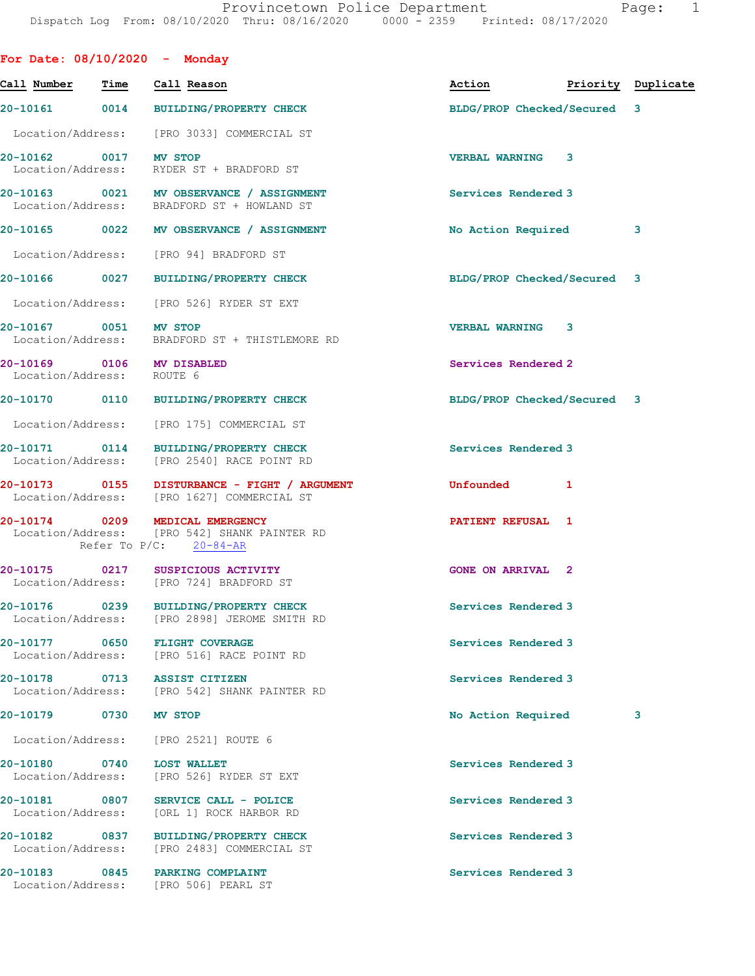|                                    |             | For Date: $08/10/2020 -$ Monday                                                                              |                             |              |                    |
|------------------------------------|-------------|--------------------------------------------------------------------------------------------------------------|-----------------------------|--------------|--------------------|
| Call Number                        | <b>Time</b> | Call Reason                                                                                                  | Action                      |              | Priority Duplicate |
|                                    |             | 20-10161 0014 BUILDING/PROPERTY CHECK                                                                        | BLDG/PROP Checked/Secured 3 |              |                    |
|                                    |             | Location/Address: [PRO 3033] COMMERCIAL ST                                                                   |                             |              |                    |
| 20-10162 0017 MV STOP              |             | Location/Address: RYDER ST + BRADFORD ST                                                                     | <b>VERBAL WARNING</b>       | 3            |                    |
|                                    |             | 20-10163 0021 MV OBSERVANCE / ASSIGNMENT<br>Location/Address: BRADFORD ST + HOWLAND ST                       | Services Rendered 3         |              |                    |
|                                    |             | 20-10165 0022 MV OBSERVANCE / ASSIGNMENT                                                                     | No Action Required          |              | 3                  |
|                                    |             | Location/Address: [PRO 94] BRADFORD ST                                                                       |                             |              |                    |
|                                    |             | 20-10166  0027 BUILDING/PROPERTY CHECK                                                                       | BLDG/PROP Checked/Secured 3 |              |                    |
|                                    |             | Location/Address: [PRO 526] RYDER ST EXT                                                                     |                             |              |                    |
| 20-10167 0051 MV STOP              |             | Location/Address: BRADFORD ST + THISTLEMORE RD                                                               | <b>VERBAL WARNING 3</b>     |              |                    |
| Location/Address: ROUTE 6          |             | 20-10169 0106 MV DISABLED                                                                                    | Services Rendered 2         |              |                    |
|                                    |             | 20-10170 0110 BUILDING/PROPERTY CHECK                                                                        | BLDG/PROP Checked/Secured 3 |              |                    |
|                                    |             | Location/Address: [PRO 175] COMMERCIAL ST                                                                    |                             |              |                    |
|                                    |             | 20-10171 0114 BUILDING/PROPERTY CHECK<br>Location/Address: [PRO 2540] RACE POINT RD                          | Services Rendered 3         |              |                    |
|                                    |             | 20-10173 0155 DISTURBANCE - FIGHT / ARGUMENT<br>Location/Address: [PRO 1627] COMMERCIAL ST                   | <b>Unfounded</b>            | $\mathbf{1}$ |                    |
|                                    |             | 20-10174 0209 MEDICAL EMERGENCY<br>Location/Address: [PRO 542] SHANK PAINTER RD<br>Refer To $P/C$ : 20-84-AR | PATIENT REFUSAL 1           |              |                    |
|                                    |             | 20-10175 0217 SUSPICIOUS ACTIVITY<br>Location/Address: [PRO 724] BRADFORD ST                                 | <b>GONE ON ARRIVAL 2</b>    |              |                    |
|                                    |             | 20-10176 0239 BUILDING/PROPERTY CHECK<br>Location/Address: [PRO 2898] JEROME SMITH RD                        | Services Rendered 3         |              |                    |
|                                    |             | 20-10177 0650 FLIGHT COVERAGE<br>Location/Address: [PRO 516] RACE POINT RD                                   | Services Rendered 3         |              |                    |
|                                    |             | 20-10178 0713 ASSIST CITIZEN<br>Location/Address: [PRO 542] SHANK PAINTER RD                                 | Services Rendered 3         |              |                    |
| 20-10179 0730                      |             | <b>MV STOP</b>                                                                                               | No Action Required          |              | 3                  |
| Location/Address:                  |             | [PRO 2521] ROUTE 6                                                                                           |                             |              |                    |
| 20-10180 0740<br>Location/Address: |             | <b>LOST WALLET</b><br>[PRO 526] RYDER ST EXT                                                                 | Services Rendered 3         |              |                    |
| Location/Address:                  |             | 20-10181 0807 SERVICE CALL - POLICE<br>[ORL 1] ROCK HARBOR RD                                                | Services Rendered 3         |              |                    |
| 20-10182 0837                      |             | <b>BUILDING/PROPERTY CHECK</b><br>Location/Address: [PRO 2483] COMMERCIAL ST                                 | Services Rendered 3         |              |                    |
|                                    |             | 20-10183 0845 PARKING COMPLAINT<br>Location/Address: [PRO 506] PEARL ST                                      | Services Rendered 3         |              |                    |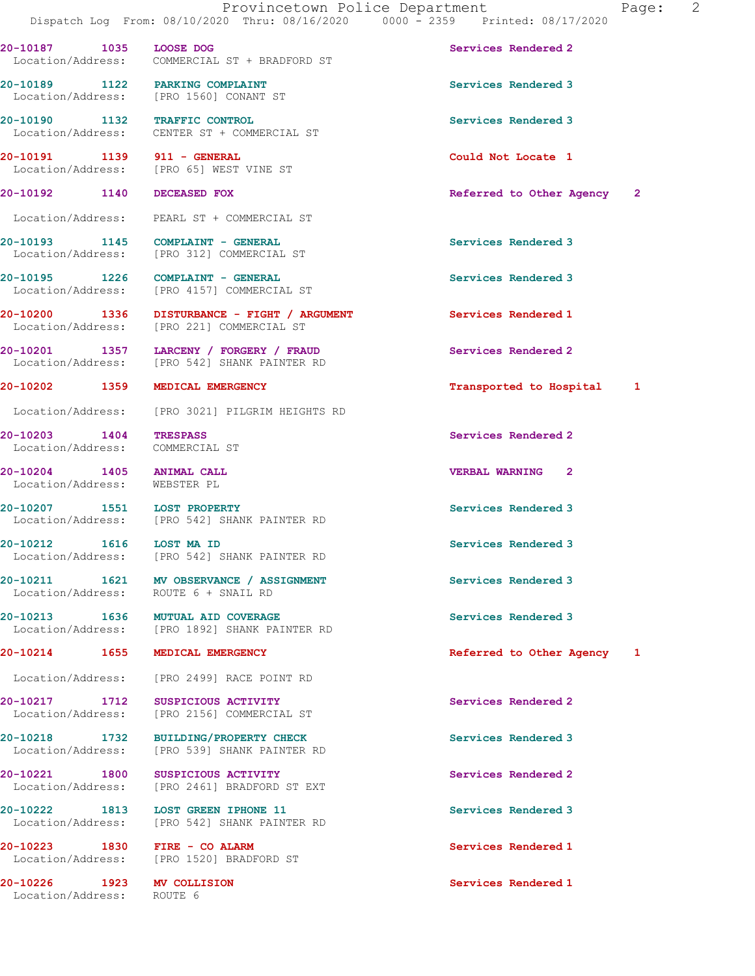20-10187 1035 LOOSE DOG Services Rendered 2 Location/Address: COMMERCIAL ST + BRADFORD ST

20-10189 1122 PARKING COMPLAINT Services Rendered 3 Location/Address: [PRO 1560] CONANT ST

20-10190 1132 TRAFFIC CONTROL Services Rendered 3 Location/Address: CENTER ST + COMMERCIAL ST

20-10191 1139 911 - GENERAL Could Not Locate 1<br>
Location/Address: [PRO 65] WEST VINE ST Location/Address: [PRO 65] WEST VINE ST

Location/Address: PEARL ST + COMMERCIAL ST

20-10193 1145 COMPLAINT - GENERAL **Services Rendered** 3 Location/Address: [PRO 312] COMMERCIAL ST

20-10195 1226 COMPLAINT - GENERAL Services Rendered 3 Location/Address: [PRO 4157] COMMERCIAL ST

20-10200 1336 DISTURBANCE - FIGHT / ARGUMENT Services Rendered 1 Location/Address: [PRO 221] COMMERCIAL ST

20-10201 1357 LARCENY / FORGERY / FRAUD Services Rendered 2<br>
Location/Address: [PRO 542] SHANK PAINTER RD [PRO 542] SHANK PAINTER RD

Location/Address: [PRO 3021] PILGRIM HEIGHTS RD

Location/Address: COMMERCIAL ST

Location/Address: WEBSTER PL

20-10207 1551 LOST PROPERTY **120-10201 120-10207** Services Rendered 3 Location/Address: [PRO 542] SHANK PAINTER RD

20-10212 1616 LOST MA ID Services Rendered 3 Location/Address: [PRO 542] SHANK PAINTER RD

20-10211 1621 MV OBSERVANCE / ASSIGNMENT Services Rendered 3 Location/Address: ROUTE 6 + SNAIL RD

20-10213 1636 MUTUAL AID COVERAGE 1636 Services Rendered 3<br>
Location/Address: [PRO 1892] SHANK PAINTER RD [PRO 1892] SHANK PAINTER RD

Location/Address: [PRO 2499] RACE POINT RD

20-10217 1712 SUSPICIOUS ACTIVITY Subsequent of the Services Rendered 2 Location/Address: [PRO 2156] COMMERCIAL ST

20-10218 1732 BUILDING/PROPERTY CHECK Services Rendered 3 Location/Address: [PRO 539] SHANK PAINTER RD

20-10221 1800 SUSPICIOUS ACTIVITY Services Rendered 2 Location/Address: [PRO 2461] BRADFORD ST EXT

20-10222 1813 LOST GREEN IPHONE 11 Services Rendered 3 Location/Address: [PRO 542] SHANK PAINTER RD

20-10223 1830 FIRE - CO ALARM Services Rendered 1 Securion Address: [PRO 1520] BRADFORD ST [PRO 1520] BRADFORD ST

20-10226 1923 MV COLLISION Services Rendered 1<br>
Location/Address: ROUTE 6

Location/Address:

20-10192 1140 DECEASED FOX **Referred to Other Agency** 2

20-10202 1359 MEDICAL EMERGENCY Transported to Hospital 1

20-10203 1404 TRESPASS Services Rendered 2

20-10204 1405 ANIMAL CALL VERBAL WARNING 2

20-10214 1655 MEDICAL EMERGENCY 1 Referred to Other Agency 1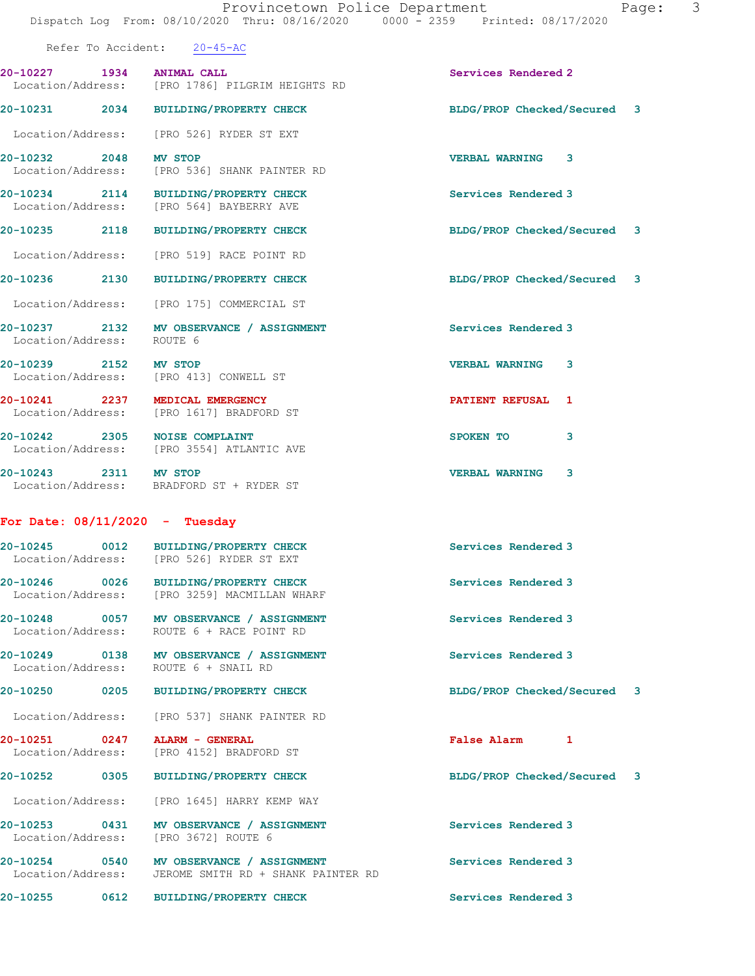|                                    | Refer To Accident: 20-45-AC                                                                      |                                    |
|------------------------------------|--------------------------------------------------------------------------------------------------|------------------------------------|
| 20-10227 1934 ANIMAL CALL          | Location/Address: [PRO 1786] PILGRIM HEIGHTS RD                                                  | Services Rendered 2                |
|                                    | 20-10231 2034 BUILDING/PROPERTY CHECK                                                            | BLDG/PROP Checked/Secured 3        |
|                                    | Location/Address: [PRO 526] RYDER ST EXT                                                         |                                    |
| 20-10232 2048 MV STOP              | Location/Address: [PRO 536] SHANK PAINTER RD                                                     | <b>VERBAL WARNING 3</b>            |
|                                    | 20-10234 2114 BUILDING/PROPERTY CHECK<br>Location/Address: [PRO 564] BAYBERRY AVE                | Services Rendered 3                |
|                                    | 20-10235 2118 BUILDING/PROPERTY CHECK                                                            | BLDG/PROP Checked/Secured 3        |
|                                    | Location/Address: [PRO 519] RACE POINT RD                                                        |                                    |
|                                    | 20-10236 2130 BUILDING/PROPERTY CHECK                                                            | BLDG/PROP Checked/Secured 3        |
|                                    | Location/Address: [PRO 175] COMMERCIAL ST                                                        |                                    |
| Location/Address: ROUTE 6          | 20-10237 2132 MV OBSERVANCE / ASSIGNMENT                                                         | Services Rendered 3                |
| 20-10239 2152 MV STOP              | Location/Address: [PRO 413] CONWELL ST                                                           | <b>VERBAL WARNING</b><br>3         |
| 20-10241 2237 MEDICAL EMERGENCY    | Location/Address: [PRO 1617] BRADFORD ST                                                         | <b>PATIENT REFUSAL 1</b>           |
| 20-10242 2305 NOISE COMPLAINT      | Location/Address: [PRO 3554] ATLANTIC AVE                                                        | SPOKEN TO<br>3                     |
| 20-10243 2311 MV STOP              | Location/Address: BRADFORD ST + RYDER ST                                                         | <b>VERBAL WARNING</b><br>3         |
| For Date: $08/11/2020 -$ Tuesday   |                                                                                                  |                                    |
|                                    | 20-10245 0012 BUILDING/PROPERTY CHECK<br>Location/Address: [PRO 526] RYDER ST EXT                | Services Rendered 3                |
|                                    | 20-10246 0026 BUILDING/PROPERTY CHECK<br>Location/Address: [PRO 3259] MACMILLAN WHARF            | Services Rendered 3                |
| 20-10248 0057<br>Location/Address: | <b>MV OBSERVANCE / ASSIGNMENT</b><br>ROUTE 6 + RACE POINT RD                                     | Services Rendered 3                |
|                                    | 20-10249 0138 MV OBSERVANCE / ASSIGNMENT<br>Location/Address: ROUTE 6 + SNAIL RD                 | Services Rendered 3                |
|                                    | 20-10250 0205 BUILDING/PROPERTY CHECK                                                            | BLDG/PROP Checked/Secured 3        |
| Location/Address:                  | [PRO 537] SHANK PAINTER RD                                                                       |                                    |
| 20-10251 0247<br>Location/Address: | ALARM - GENERAL<br>[PRO 4152] BRADFORD ST                                                        | <b>False Alarm</b><br>$\mathbf{1}$ |
| 20-10252 0305                      | <b>BUILDING/PROPERTY CHECK</b>                                                                   | BLDG/PROP Checked/Secured 3        |
| Location/Address:                  | [PRO 1645] HARRY KEMP WAY                                                                        |                                    |
| 20-10253 0431<br>Location/Address: | MV OBSERVANCE / ASSIGNMENT<br>[PRO 3672] ROUTE 6                                                 | Services Rendered 3                |
|                                    | 20-10254 0540 MV OBSERVANCE / ASSIGNMENT<br>Location/Address: JEROME SMITH RD + SHANK PAINTER RD | Services Rendered 3                |
|                                    | 20-10255 0612 BUILDING/PROPERTY CHECK                                                            | Services Rendered 3                |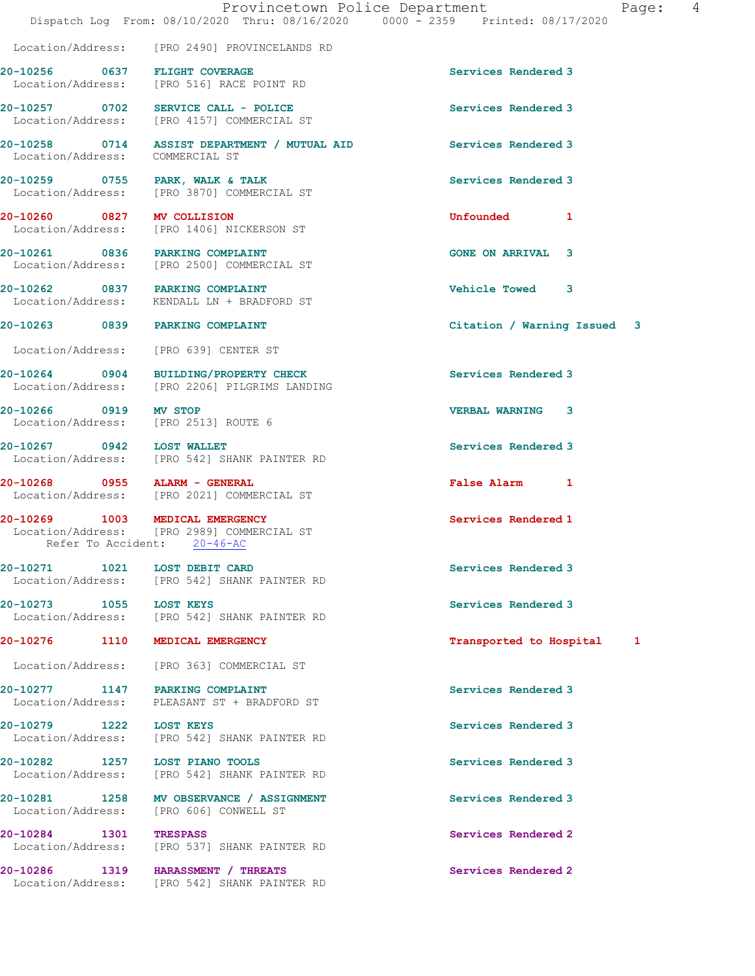|                            | Dispatch Log From: 08/10/2020 Thru: 08/16/2020 0000 - 2359 Printed: 08/17/2020                               | Provincetown Police Department |                             | Page: 4 |  |
|----------------------------|--------------------------------------------------------------------------------------------------------------|--------------------------------|-----------------------------|---------|--|
|                            | Location/Address: [PRO 2490] PROVINCELANDS RD                                                                |                                |                             |         |  |
|                            | 20-10256 0637 FLIGHT COVERAGE<br>Location/Address: [PRO 516] RACE POINT RD                                   |                                | Services Rendered 3         |         |  |
|                            | 20-10257 0702 SERVICE CALL - POLICE<br>Location/Address: [PRO 4157] COMMERCIAL ST                            |                                | Services Rendered 3         |         |  |
|                            | 20-10258 0714 ASSIST DEPARTMENT / MUTUAL AID<br>Location/Address: COMMERCIAL ST                              |                                | Services Rendered 3         |         |  |
|                            | 20-10259 0755 PARK, WALK & TALK<br>Location/Address: [PRO 3870] COMMERCIAL ST                                |                                | Services Rendered 3         |         |  |
| 20-10260 0827 MV COLLISION | Location/Address: [PRO 1406] NICKERSON ST                                                                    |                                | Unfounded 1                 |         |  |
|                            | 20-10261 0836 PARKING COMPLAINT<br>Location/Address: [PRO 2500] COMMERCIAL ST                                |                                | <b>GONE ON ARRIVAL 3</b>    |         |  |
|                            | 20-10262 0837 PARKING COMPLAINT<br>Location/Address: KENDALL LN + BRADFORD ST                                |                                | Vehicle Towed 3             |         |  |
|                            | 20-10263 0839 PARKING COMPLAINT                                                                              |                                | Citation / Warning Issued 3 |         |  |
|                            | Location/Address: [PRO 639] CENTER ST                                                                        |                                |                             |         |  |
|                            | 20-10264 0904 BUILDING/PROPERTY CHECK<br>Location/Address: [PRO 2206] PILGRIMS LANDING                       |                                | Services Rendered 3         |         |  |
| 20-10266 0919 MV STOP      | Location/Address: [PRO 2513] ROUTE 6                                                                         |                                | <b>VERBAL WARNING 3</b>     |         |  |
|                            | 20-10267 0942 LOST WALLET<br>Location/Address: [PRO 542] SHANK PAINTER RD                                    |                                | Services Rendered 3         |         |  |
|                            | 20-10268 0955 ALARM - GENERAL<br>Location/Address: [PRO 2021] COMMERCIAL ST                                  |                                | False Alarm 1               |         |  |
|                            | 20-10269 1003 MEDICAL EMERGENCY<br>Location/Address: [PRO 2989] COMMERCIAL ST<br>Refer To Accident: 20-46-AC |                                | Services Rendered 1         |         |  |
|                            | 20-10271   1021   LOST DEBIT CARD<br>Location/Address: [PRO 542] SHANK PAINTER RD                            |                                | Services Rendered 3         |         |  |
| 20-10273 1055 LOST KEYS    | Location/Address: [PRO 542] SHANK PAINTER RD                                                                 |                                | Services Rendered 3         |         |  |
|                            | 20-10276 1110 MEDICAL EMERGENCY                                                                              |                                | Transported to Hospital 1   |         |  |
|                            | Location/Address: [PRO 363] COMMERCIAL ST                                                                    |                                |                             |         |  |
|                            | 20-10277 1147 PARKING COMPLAINT<br>Location/Address: PLEASANT ST + BRADFORD ST                               |                                | Services Rendered 3         |         |  |
| 20-10279 1222 LOST KEYS    | Location/Address: [PRO 542] SHANK PAINTER RD                                                                 |                                | Services Rendered 3         |         |  |
|                            | 20-10282 1257 LOST PIANO TOOLS<br>Location/Address: [PRO 542] SHANK PAINTER RD                               |                                | Services Rendered 3         |         |  |
|                            | 20-10281 1258 MV OBSERVANCE / ASSIGNMENT<br>Location/Address: [PRO 606] CONWELL ST                           |                                | Services Rendered 3         |         |  |
| 20-10284 1301 TRESPASS     | Location/Address: [PRO 537] SHANK PAINTER RD                                                                 |                                | Services Rendered 2         |         |  |
|                            | 20-10286 1319 HARASSMENT / THREATS<br>Location/Address: [PRO 542] SHANK PAINTER RD                           |                                | Services Rendered 2         |         |  |
|                            |                                                                                                              |                                |                             |         |  |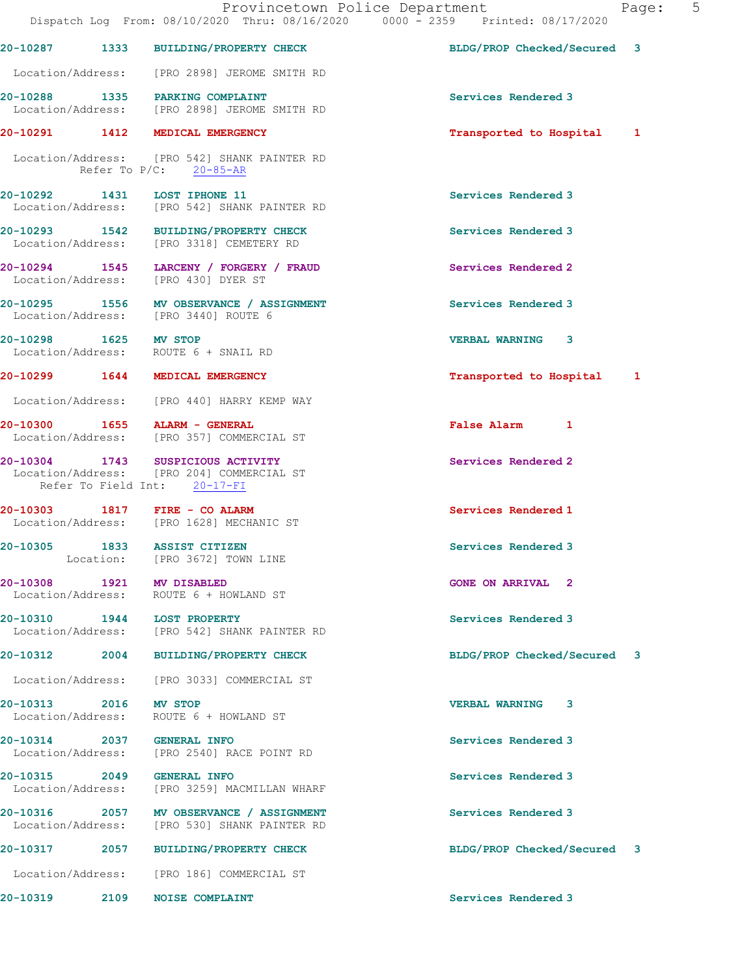|                       |           | Provincetown Police Department<br>Dispatch Log From: 08/10/2020 Thru: 08/16/2020 0000 - 2359 Printed: 08/17/2020 |                             | Page: | $5^{\circ}$ |
|-----------------------|-----------|------------------------------------------------------------------------------------------------------------------|-----------------------------|-------|-------------|
|                       |           | 20-10287 1333 BUILDING/PROPERTY CHECK                                                                            | BLDG/PROP Checked/Secured 3 |       |             |
|                       |           | Location/Address: [PRO 2898] JEROME SMITH RD                                                                     |                             |       |             |
|                       |           | 20-10288 1335 PARKING COMPLAINT<br>Location/Address: [PRO 2898] JEROME SMITH RD                                  | Services Rendered 3         |       |             |
|                       |           | 20-10291 1412 MEDICAL EMERGENCY                                                                                  | Transported to Hospital 1   |       |             |
|                       |           | Location/Address: [PRO 542] SHANK PAINTER RD<br>Refer To $P/C$ : 20-85-AR                                        |                             |       |             |
|                       |           | 20-10292 1431 LOST IPHONE 11<br>Location/Address: [PRO 542] SHANK PAINTER RD                                     | Services Rendered 3         |       |             |
|                       |           | 20-10293 1542 BUILDING/PROPERTY CHECK<br>Location/Address: [PRO 3318] CEMETERY RD                                | Services Rendered 3         |       |             |
|                       |           | 20-10294 1545 LARCENY / FORGERY / FRAUD<br>Location/Address: [PRO 430] DYER ST                                   | Services Rendered 2         |       |             |
|                       |           | 20-10295 1556 MV OBSERVANCE / ASSIGNMENT<br>Location/Address: [PRO 3440] ROUTE 6                                 | Services Rendered 3         |       |             |
| 20-10298 1625 MV STOP |           | Location/Address: ROUTE 6 + SNAIL RD                                                                             | <b>VERBAL WARNING 3</b>     |       |             |
|                       |           | 20-10299 1644 MEDICAL EMERGENCY                                                                                  | Transported to Hospital 1   |       |             |
|                       |           | Location/Address: [PRO 440] HARRY KEMP WAY                                                                       |                             |       |             |
|                       |           | 20-10300 1655 ALARM - GENERAL<br>Location/Address: [PRO 357] COMMERCIAL ST                                       | False Alarm 1               |       |             |
|                       |           | 20-10304 1743 SUSPICIOUS ACTIVITY<br>Location/Address: [PRO 204] COMMERCIAL ST<br>Refer To Field Int: 20-17-FI   | Services Rendered 2         |       |             |
|                       |           | 20-10303 1817 FIRE - CO ALARM<br>Location/Address: [PRO 1628] MECHANIC ST                                        | Services Rendered 1         |       |             |
|                       | Location: | 20-10305 1833 ASSIST CITIZEN<br>[PRO 3672] TOWN LINE                                                             | Services Rendered 3         |       |             |
|                       |           | 20-10308 1921 MV DISABLED<br>Location/Address: ROUTE 6 + HOWLAND ST                                              | <b>GONE ON ARRIVAL 2</b>    |       |             |
|                       |           | 20-10310 1944 LOST PROPERTY<br>Location/Address: [PRO 542] SHANK PAINTER RD                                      | Services Rendered 3         |       |             |
|                       |           | 20-10312 2004 BUILDING/PROPERTY CHECK                                                                            | BLDG/PROP Checked/Secured 3 |       |             |
|                       |           | Location/Address: [PRO 3033] COMMERCIAL ST                                                                       |                             |       |             |
| 20-10313 2016 MV STOP |           | Location/Address: ROUTE 6 + HOWLAND ST                                                                           | <b>VERBAL WARNING 3</b>     |       |             |
|                       |           | 20-10314 2037 GENERAL INFO<br>Location/Address: [PRO 2540] RACE POINT RD                                         | Services Rendered 3         |       |             |
|                       |           | 20-10315 2049 GENERAL INFO<br>Location/Address: [PRO 3259] MACMILLAN WHARF                                       | Services Rendered 3         |       |             |
|                       |           | 20-10316 2057 MV OBSERVANCE / ASSIGNMENT<br>Location/Address: [PRO 530] SHANK PAINTER RD                         | Services Rendered 3         |       |             |
|                       |           | 20-10317 2057 BUILDING/PROPERTY CHECK                                                                            | BLDG/PROP Checked/Secured 3 |       |             |
|                       |           | Location/Address: [PRO 186] COMMERCIAL ST                                                                        |                             |       |             |
|                       |           |                                                                                                                  |                             |       |             |

20-10319 2109 NOISE COMPLAINT **Services** Rendered 3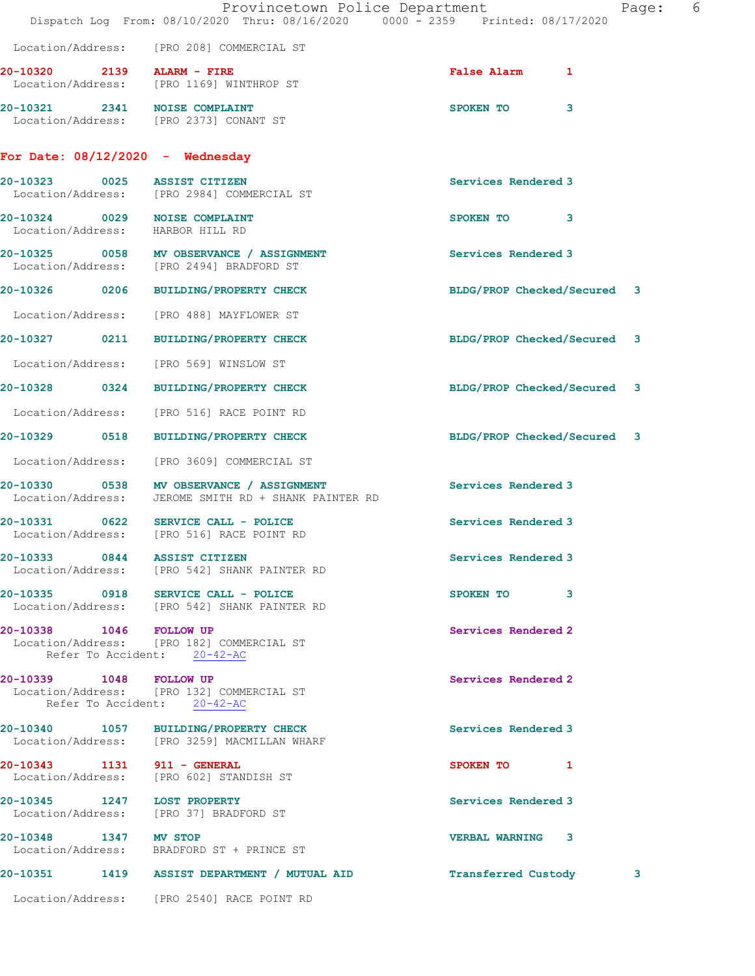|                             | Provincetown Police Department<br>Dispatch Log From: 08/10/2020 Thru: 08/16/2020 0000 - 2359 Printed: 08/17/2020 |                             | 6<br>Page: |
|-----------------------------|------------------------------------------------------------------------------------------------------------------|-----------------------------|------------|
|                             | Location/Address: [PRO 208] COMMERCIAL ST                                                                        |                             |            |
|                             | 20-10320 2139 ALARM - FIRE<br>Location/Address: [PRO 1169] WINTHROP ST                                           | <b>False Alarm</b><br>1     |            |
|                             | 20-10321 2341 NOISE COMPLAINT<br>Location/Address: [PRO 2373] CONANT ST                                          | SPOKEN TO<br>3              |            |
|                             | For Date: $08/12/2020 -$ Wednesday                                                                               |                             |            |
| 20-10323 0025               | <b>ASSIST CITIZEN</b><br>Location/Address: [PRO 2984] COMMERCIAL ST                                              | Services Rendered 3         |            |
|                             | 20-10324 0029 NOISE COMPLAINT<br>Location/Address: HARBOR HILL RD                                                | SPOKEN TO<br>3              |            |
|                             | 20-10325 0058 MV OBSERVANCE / ASSIGNMENT<br>Location/Address: [PRO 2494] BRADFORD ST                             | Services Rendered 3         |            |
|                             | 20-10326 0206 BUILDING/PROPERTY CHECK                                                                            | BLDG/PROP Checked/Secured 3 |            |
|                             | Location/Address: [PRO 488] MAYFLOWER ST                                                                         |                             |            |
| 0211<br>20-10327            | <b>BUILDING/PROPERTY CHECK</b>                                                                                   | BLDG/PROP Checked/Secured 3 |            |
|                             | Location/Address: [PRO 569] WINSLOW ST                                                                           |                             |            |
|                             | 20-10328 0324 BUILDING/PROPERTY CHECK                                                                            | BLDG/PROP Checked/Secured 3 |            |
| Location/Address:           | [PRO 516] RACE POINT RD                                                                                          |                             |            |
| 20-10329 0518               | BUILDING/PROPERTY CHECK                                                                                          | BLDG/PROP Checked/Secured 3 |            |
|                             | Location/Address: [PRO 3609] COMMERCIAL ST                                                                       |                             |            |
|                             | 20-10330 0538 MV OBSERVANCE / ASSIGNMENT<br>Location/Address: JEROME SMITH RD + SHANK PAINTER RD                 | Services Rendered 3         |            |
|                             | 20-10331 0622 SERVICE CALL - POLICE<br>Location/Address: [PRO 516] RACE POINT RD                                 | Services Rendered 3         |            |
|                             | 20-10333 0844 ASSIST CITIZEN<br>Location/Address: [PRO 542] SHANK PAINTER RD                                     | Services Rendered 3         |            |
|                             | 20-10335 0918 SERVICE CALL - POLICE<br>Location/Address: [PRO 542] SHANK PAINTER RD                              | SPOKEN TO 3                 |            |
| 20-10338 1046 FOLLOW UP     | Location/Address: [PRO 182] COMMERCIAL ST<br>Refer To Accident: 20-42-AC                                         | Services Rendered 2         |            |
| 20-10339 1048 FOLLOW UP     | Location/Address: [PRO 132] COMMERCIAL ST<br>Refer To Accident: 20-42-AC                                         | Services Rendered 2         |            |
|                             | 20-10340 1057 BUILDING/PROPERTY CHECK<br>Location/Address: [PRO 3259] MACMILLAN WHARF                            | Services Rendered 3         |            |
| 20-10343 1131 911 - GENERAL | Location/Address: [PRO 602] STANDISH ST                                                                          | SPOKEN TO<br>$\blacksquare$ |            |
| 20-10345 1247 LOST PROPERTY | Location/Address: [PRO 37] BRADFORD ST                                                                           | Services Rendered 3         |            |
| 20-10348 1347 MV STOP       | Location/Address: BRADFORD ST + PRINCE ST                                                                        | <b>VERBAL WARNING 3</b>     |            |
|                             | 20-10351 1419 ASSIST DEPARTMENT / MUTUAL AID                                                                     | Transferred Custody         | 3          |
|                             | Location/Address: [PRO 2540] RACE POINT RD                                                                       |                             |            |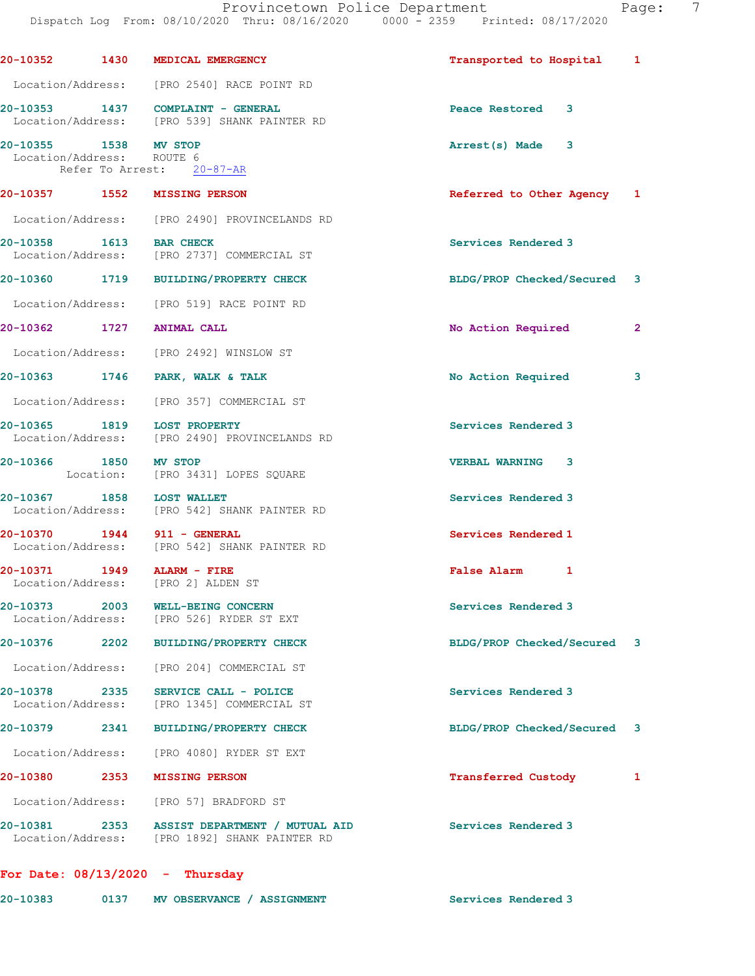| Location/Address: [PRO 2540] RACE POINT RD<br>20-10353 1437 COMPLAINT - GENERAL<br>Location/Address: [PRO 539] SHANK PAINTER RD<br>20-10355 1538 MV STOP<br>Location/Address: ROUTE 6<br>Refer To Arrest: 20-87-AR<br>20-10357 1552 MISSING PERSON<br>Location/Address: [PRO 2490] PROVINCELANDS RD<br>20-10358 1613 BAR CHECK<br>Location/Address: [PRO 2737] COMMERCIAL ST<br>20-10360 1719 BUILDING/PROPERTY CHECK<br>Location/Address: [PRO 519] RACE POINT RD<br>20-10362 1727 ANIMAL CALL<br>Location/Address: [PRO 2492] WINSLOW ST<br>20-10363 1746 PARK, WALK & TALK<br>Location/Address: [PRO 357] COMMERCIAL ST | Peace Restored 3<br>Arrest(s) Made 3<br>Referred to Other Agency 1<br>Services Rendered 3<br>BLDG/PROP Checked/Secured 3<br>No Action Required<br>No Action Required | $\mathbf{2}$                                               |
|----------------------------------------------------------------------------------------------------------------------------------------------------------------------------------------------------------------------------------------------------------------------------------------------------------------------------------------------------------------------------------------------------------------------------------------------------------------------------------------------------------------------------------------------------------------------------------------------------------------------------|----------------------------------------------------------------------------------------------------------------------------------------------------------------------|------------------------------------------------------------|
|                                                                                                                                                                                                                                                                                                                                                                                                                                                                                                                                                                                                                            |                                                                                                                                                                      |                                                            |
|                                                                                                                                                                                                                                                                                                                                                                                                                                                                                                                                                                                                                            |                                                                                                                                                                      |                                                            |
|                                                                                                                                                                                                                                                                                                                                                                                                                                                                                                                                                                                                                            |                                                                                                                                                                      |                                                            |
|                                                                                                                                                                                                                                                                                                                                                                                                                                                                                                                                                                                                                            |                                                                                                                                                                      |                                                            |
|                                                                                                                                                                                                                                                                                                                                                                                                                                                                                                                                                                                                                            |                                                                                                                                                                      |                                                            |
|                                                                                                                                                                                                                                                                                                                                                                                                                                                                                                                                                                                                                            |                                                                                                                                                                      |                                                            |
|                                                                                                                                                                                                                                                                                                                                                                                                                                                                                                                                                                                                                            |                                                                                                                                                                      |                                                            |
|                                                                                                                                                                                                                                                                                                                                                                                                                                                                                                                                                                                                                            |                                                                                                                                                                      |                                                            |
|                                                                                                                                                                                                                                                                                                                                                                                                                                                                                                                                                                                                                            |                                                                                                                                                                      |                                                            |
|                                                                                                                                                                                                                                                                                                                                                                                                                                                                                                                                                                                                                            |                                                                                                                                                                      |                                                            |
|                                                                                                                                                                                                                                                                                                                                                                                                                                                                                                                                                                                                                            |                                                                                                                                                                      | 3                                                          |
|                                                                                                                                                                                                                                                                                                                                                                                                                                                                                                                                                                                                                            |                                                                                                                                                                      |                                                            |
| 20-10365 1819 LOST PROPERTY<br>Location/Address: [PRO 2490] PROVINCELANDS RD                                                                                                                                                                                                                                                                                                                                                                                                                                                                                                                                               | Services Rendered 3                                                                                                                                                  |                                                            |
| 20-10366 1850 MV STOP<br>Location: [PRO 3431] LOPES SQUARE                                                                                                                                                                                                                                                                                                                                                                                                                                                                                                                                                                 | <b>VERBAL WARNING 3</b>                                                                                                                                              |                                                            |
| 20-10367 1858 LOST WALLET<br>Location/Address: [PRO 542] SHANK PAINTER RD                                                                                                                                                                                                                                                                                                                                                                                                                                                                                                                                                  | Services Rendered 3                                                                                                                                                  |                                                            |
| 20-10370 1944 911 - GENERAL<br>Location/Address: [PRO 542] SHANK PAINTER RD                                                                                                                                                                                                                                                                                                                                                                                                                                                                                                                                                | Services Rendered 1                                                                                                                                                  |                                                            |
| 20-10371 1949 ALARM - FIRE<br>Location/Address: [PRO 2] ALDEN ST                                                                                                                                                                                                                                                                                                                                                                                                                                                                                                                                                           | False Alarm 1                                                                                                                                                        |                                                            |
| WELL-BEING CONCERN<br>Location/Address: [PRO 526] RYDER ST EXT                                                                                                                                                                                                                                                                                                                                                                                                                                                                                                                                                             | Services Rendered 3                                                                                                                                                  |                                                            |
| 20-10376 2202 BUILDING/PROPERTY CHECK                                                                                                                                                                                                                                                                                                                                                                                                                                                                                                                                                                                      |                                                                                                                                                                      |                                                            |
| [PRO 204] COMMERCIAL ST                                                                                                                                                                                                                                                                                                                                                                                                                                                                                                                                                                                                    |                                                                                                                                                                      |                                                            |
| 20-10378 2335 SERVICE CALL - POLICE<br>Location/Address: [PRO 1345] COMMERCIAL ST                                                                                                                                                                                                                                                                                                                                                                                                                                                                                                                                          | Services Rendered 3                                                                                                                                                  |                                                            |
| 20-10379 2341 BUILDING/PROPERTY CHECK                                                                                                                                                                                                                                                                                                                                                                                                                                                                                                                                                                                      |                                                                                                                                                                      |                                                            |
| Location/Address: [PRO 4080] RYDER ST EXT                                                                                                                                                                                                                                                                                                                                                                                                                                                                                                                                                                                  |                                                                                                                                                                      |                                                            |
| 20-10380 2353 MISSING PERSON                                                                                                                                                                                                                                                                                                                                                                                                                                                                                                                                                                                               | <b>Transferred Custody</b>                                                                                                                                           | $\mathbf{1}$                                               |
| Location/Address: [PRO 57] BRADFORD ST                                                                                                                                                                                                                                                                                                                                                                                                                                                                                                                                                                                     |                                                                                                                                                                      |                                                            |
| 20-10381 2353 ASSIST DEPARTMENT / MUTUAL AID                                                                                                                                                                                                                                                                                                                                                                                                                                                                                                                                                                               | Services Rendered 3                                                                                                                                                  |                                                            |
|                                                                                                                                                                                                                                                                                                                                                                                                                                                                                                                                                                                                                            | Location/Address: [PRO 1892] SHANK PAINTER RD<br>For Date: $08/13/2020$ - Thursday                                                                                   | BLDG/PROP Checked/Secured 3<br>BLDG/PROP Checked/Secured 3 |

| 20-10383 | MV OBSERVANCE / ASSIGNMENT | Services Rendered 3 |
|----------|----------------------------|---------------------|
|          |                            |                     |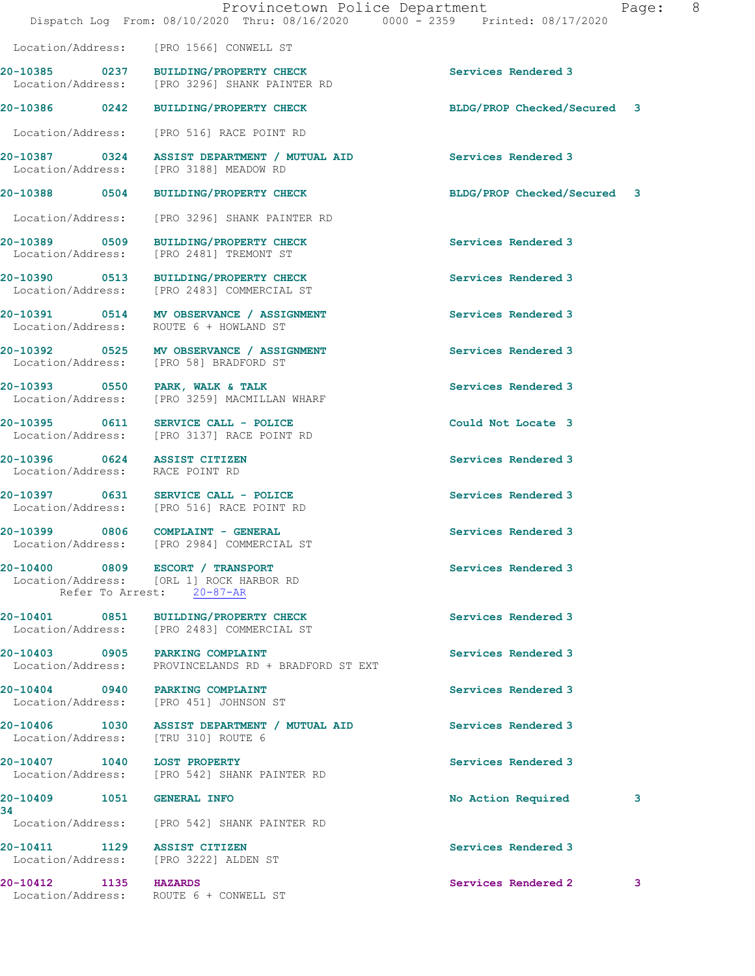|                                                                           | Provincetown Police Department<br>Dispatch Log From: 08/10/2020 Thru: 08/16/2020 0000 - 2359 Printed: 08/17/2020 |                             | Page: 8 |
|---------------------------------------------------------------------------|------------------------------------------------------------------------------------------------------------------|-----------------------------|---------|
|                                                                           | Location/Address: [PRO 1566] CONWELL ST                                                                          |                             |         |
|                                                                           | 20-10385 0237 BUILDING/PROPERTY CHECK<br>Location/Address: [PRO 3296] SHANK PAINTER RD                           | Services Rendered 3         |         |
|                                                                           | 20-10386 0242 BUILDING/PROPERTY CHECK                                                                            | BLDG/PROP Checked/Secured 3 |         |
|                                                                           | Location/Address: [PRO 516] RACE POINT RD                                                                        |                             |         |
|                                                                           | 20-10387   0324   ASSIST DEPARTMENT / MUTUAL AID<br>Location/Address: [PRO 3188] MEADOW RD                       | Services Rendered 3         |         |
|                                                                           | 20-10388 0504 BUILDING/PROPERTY CHECK                                                                            | BLDG/PROP Checked/Secured 3 |         |
|                                                                           | Location/Address: [PRO 3296] SHANK PAINTER RD                                                                    |                             |         |
| Location/Address: [PRO 2481] TREMONT ST                                   | 20-10389 0509 BUILDING/PROPERTY CHECK                                                                            | Services Rendered 3         |         |
|                                                                           | 20-10390 0513 BUILDING/PROPERTY CHECK<br>Location/Address: [PRO 2483] COMMERCIAL ST                              | Services Rendered 3         |         |
| Location/Address: ROUTE 6 + HOWLAND ST                                    | 20-10391 0514 MV OBSERVANCE / ASSIGNMENT                                                                         | Services Rendered 3         |         |
| Location/Address: [PRO 58] BRADFORD ST                                    | 20-10392 0525 MV OBSERVANCE / ASSIGNMENT                                                                         | Services Rendered 3         |         |
|                                                                           | 20-10393 0550 PARK, WALK & TALK<br>Location/Address: [PRO 3259] MACMILLAN WHARF                                  | Services Rendered 3         |         |
|                                                                           | 20-10395 0611 SERVICE CALL - POLICE<br>Location/Address: [PRO 3137] RACE POINT RD                                | Could Not Locate 3          |         |
| 20-10396 0624 ASSIST CITIZEN<br>Location/Address: RACE POINT RD           |                                                                                                                  | Services Rendered 3         |         |
|                                                                           | 20-10397 0631 SERVICE CALL - POLICE<br>Location/Address: [PRO 516] RACE POINT RD                                 | Services Rendered 3         |         |
| 20-10399 0806 COMPLAINT - GENERAL                                         | Location/Address: [PRO 2984] COMMERCIAL ST                                                                       | Services Rendered 3         |         |
|                                                                           | 20-10400 0809 ESCORT / TRANSPORT<br>Location/Address: [ORL 1] ROCK HARBOR RD<br>Refer To Arrest: 20-87-AR        | Services Rendered 3         |         |
|                                                                           | 20-10401 0851 BUILDING/PROPERTY CHECK<br>Location/Address: [PRO 2483] COMMERCIAL ST                              | Services Rendered 3         |         |
| 20-10403 0905 PARKING COMPLAINT                                           | Location/Address: PROVINCELANDS RD + BRADFORD ST EXT                                                             | Services Rendered 3         |         |
| 20-10404 0940 PARKING COMPLAINT<br>Location/Address: [PRO 451] JOHNSON ST |                                                                                                                  | Services Rendered 3         |         |
|                                                                           | 20-10406 1030 ASSIST DEPARTMENT / MUTUAL AID<br>Location/Address: [TRU 310] ROUTE 6                              | Services Rendered 3         |         |
| 20-10407   1040   LOST PROPERTY                                           | Location/Address: [PRO 542] SHANK PAINTER RD                                                                     | Services Rendered 3         |         |
| 20-10409 1051 GENERAL INFO<br>34                                          |                                                                                                                  | No Action Required          | 3       |
|                                                                           | Location/Address: [PRO 542] SHANK PAINTER RD                                                                     |                             |         |
| 20-10411 1129 ASSIST CITIZEN<br>Location/Address: [PRO 3222] ALDEN ST     |                                                                                                                  | Services Rendered 3         |         |
| 20-10412 1135 HAZARDS<br>Location/Address: ROUTE 6 + CONWELL ST           |                                                                                                                  | Services Rendered 2         | 3       |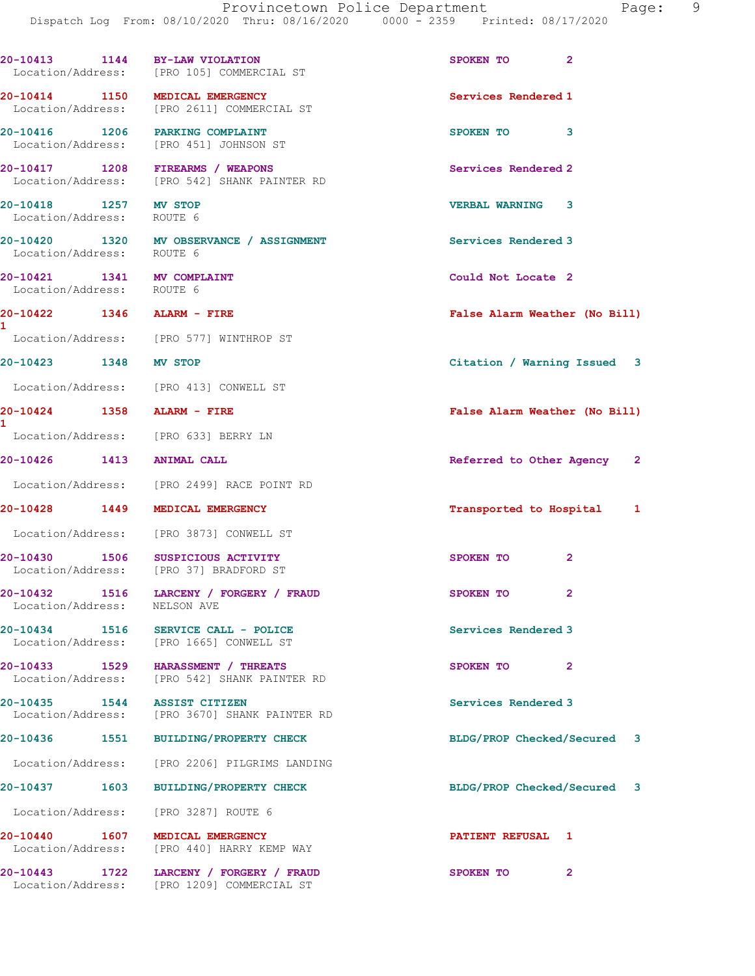|                                       | Dispatch Log From: 08/10/2020 Thru: 08/16/2020 0000 - 2359 Printed: 08/17/2020 |                                    |
|---------------------------------------|--------------------------------------------------------------------------------|------------------------------------|
| Location/Address:                     | 20-10413 1144 BY-LAW VIOLATION<br>[PRO 105] COMMERCIAL ST                      | $\overline{2}$<br><b>SPOKEN TO</b> |
| 20-10414 1150<br>Location/Address:    | MEDICAL EMERGENCY<br>[PRO 2611] COMMERCIAL ST                                  | Services Rendered 1                |
| 20-10416 1206<br>Location/Address:    | PARKING COMPLAINT<br>[PRO 451] JOHNSON ST                                      | 3<br><b>SPOKEN TO</b>              |
| 20-10417<br>1208<br>Location/Address: | FIREARMS / WEAPONS<br>[PRO 542] SHANK PAINTER RD                               | Services Rendered 2                |
| 20-10418 1257<br>Location/Address:    | MV STOP<br>ROUTE 6                                                             | 3<br><b>VERBAL WARNING</b>         |

Location/Address: ROUTE 6

Location/Address:

1

1

20-10430 1506 SUSPICIOUS ACTIVITY SPOKEN TO 2

Location/Address: NELSON AVE

Location/Address: [PRO 3287] ROUTE 6

20-10420 1320 MV OBSERVANCE / ASSIGNMENT Services Rendered 3

20-10421 1341 MV COMPLAINT Could Not Locate 2<br>
Location/Address: ROUTE 6

Location/Address: [PRO 577] WINTHROP ST

Location/Address: [PRO 413] CONWELL ST

Location/Address: [PRO 633] BERRY LN

Location/Address: [PRO 2499] RACE POINT RD

Location/Address: [PRO 3873] CONWELL ST

Location/Address: [PRO 37] BRADFORD ST

20-10432 1516 LARCENY / FORGERY / FRAUD SPOKEN TO 2

20-10434 1516 SERVICE CALL - POLICE Services Rendered 3 Location/Address: [PRO 1665] CONWELL ST

20-10433 1529 HARASSMENT / THREATS SPOKEN TO 2 Location/Address: [PRO 542] SHANK PAINTER RD

20-10435 1544 ASSIST CITIZEN Services Rendered 3 Location/Address: [PRO 3670] SHANK PAINTER RD

Location/Address: [PRO 2206] PILGRIMS LANDING

20-10440 1607 MEDICAL EMERGENCY PATIENT REFUSAL 1 Location/Address: [PRO 440] HARRY KEMP WAY

20-10443 1722 LARCENY / FORGERY / FRAUD SPOKEN TO 2 Location/Address: [PRO 1209] COMMERCIAL ST

20-10422 1346 ALARM - FIRE False Alarm Weather (No Bill)

20-10423 1348 MV STOP Citation / Warning Issued 3

20-10424 1358 ALARM - FIRE False Alarm Weather (No Bill)

20-10426 1413 ANIMAL CALL Referred to Other Agency 2

20-10428 1449 MEDICAL EMERGENCY Transported to Hospital 1

20-10436 1551 BUILDING/PROPERTY CHECK BLDG/PROP Checked/Secured 3

20-10437 1603 BUILDING/PROPERTY CHECK BLDG/PROP Checked/Secured 3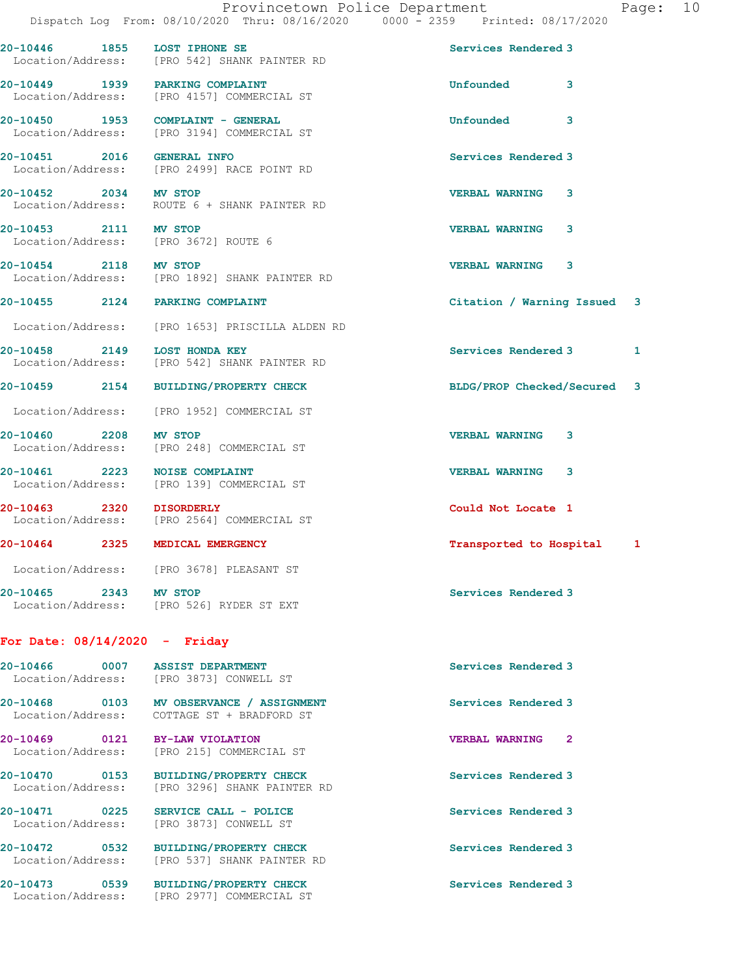20-10446 1855 LOST IPHONE SE Services Rendered 3

Location/Address: [PRO 542] SHANK PAINTER RD

20-10449 1939 PARKING COMPLAINT Unfounded 3 Location/Address: [PRO 4157] COMMERCIAL ST 20-10450 1953 COMPLAINT - GENERAL COMPLAINT - GENERAL Unfounded 3 Location/Address: [PRO 3194] COMMERCIAL ST 20-10451 2016 GENERAL INFO 2001 Services Rendered 3 Location/Address: [PRO 2499] RACE POINT RD 20-10452 2034 MV STOP VERBAL WARNING 3 Location/Address: ROUTE 6 + SHANK PAINTER RD 20-10453 2111 MV STOP VERBAL WARNING 3 Location/Address: [PRO 3672] ROUTE 6 20-10454 2118 MV STOP VERBAL WARNING 3 Location/Address: [PRO 1892] SHANK PAINTER RD 20-10455 2124 PARKING COMPLAINT Citation / Warning Issued 3 Location/Address: [PRO 1653] PRISCILLA ALDEN RD 20-10458 2149 LOST HONDA KEY (2008) 20-10458 Rendered 3 1 1<br>
Location/Address: [PRO 542] SHANK PAINTER RD [PRO 542] SHANK PAINTER RD 20-10459 2154 BUILDING/PROPERTY CHECK BLDG/PROP Checked/Secured 3 Location/Address: [PRO 1952] COMMERCIAL ST 20-10460 2208 MV STOP VERBAL WARNING 3 Location/Address: [PRO 248] COMMERCIAL ST 20-10461 2223 NOISE COMPLAINT VERBAL WARNING 3 Location/Address: [PRO 139] COMMERCIAL ST 20-10463 2320 DISORDERLY Could Not Locate 1<br>
Location/Address: [PRO 2564] COMMERCIAL ST [PRO 2564] COMMERCIAL ST 20-10464 2325 MEDICAL EMERGENCY Transported to Hospital 1 Location/Address: [PRO 3678] PLEASANT ST 20-10465 2343 MV STOP Services Rendered 3

## For Date: 08/14/2020 - Friday

Location/Address: [PRO 526] RYDER ST EXT

| 20-10466 0007<br>Location/Address:                   | <b>ASSIST DEPARTMENT</b><br>[PRO 3873] CONWELL ST             | Services Rendered 3                     |
|------------------------------------------------------|---------------------------------------------------------------|-----------------------------------------|
| 0103<br>20-10468<br>Location/Address:                | MV OBSERVANCE / ASSIGNMENT<br>COTTAGE ST + BRADFORD ST        | Services Rendered 3                     |
| 20-10469  0121 BY-LAW VIOLATION<br>Location/Address: | [PRO 215] COMMERCIAL ST                                       | $\overline{2}$<br><b>VERBAL WARNING</b> |
| 0153<br>20-10470<br>Location/Address:                | <b>BUILDING/PROPERTY CHECK</b><br>[PRO 3296] SHANK PAINTER RD | Services Rendered 3                     |
| 20-10471 0225<br>Location/Address:                   | SERVICE CALL - POLICE<br>[PRO 3873] CONWELL ST                | Services Rendered 3                     |
| 20-10472<br>0532<br>Location/Address:                | <b>BUILDING/PROPERTY CHECK</b><br>[PRO 537] SHANK PAINTER RD  | Services Rendered 3                     |
| 20-10473 0539<br>Location/Address:                   | <b>BUILDING/PROPERTY CHECK</b><br>[PRO 2977] COMMERCIAL ST    | Services Rendered 3                     |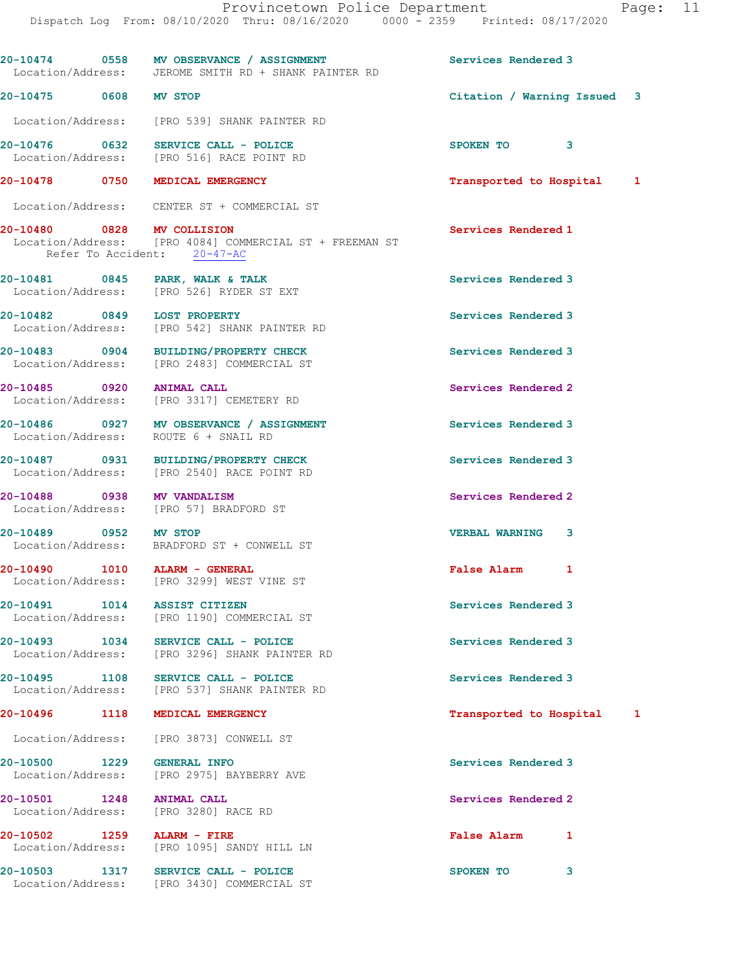20-10474 0558 MV OBSERVANCE / ASSIGNMENT Services Rendered 3 Location/Address: JEROME SMITH RD + SHANK PAINTER RD 20-10475 0608 MV STOP Citation / Warning Issued 3 Location/Address: [PRO 539] SHANK PAINTER RD 20-10476 0632 SERVICE CALL - POLICE SPOKEN TO 3 Location/Address: [PRO 516] RACE POINT RD 20-10478 0750 MEDICAL EMERGENCY Transported to Hospital 1 Location/Address: CENTER ST + COMMERCIAL ST 20-10480 0828 MV COLLISION Services Rendered 1 Location/Address: [PRO 4084] COMMERCIAL ST + FREEMAN ST Refer To Accident: 20-47-AC 20-10481 0845 PARK, WALK & TALK SERVICES Rendered 3 Location/Address: [PRO 526] RYDER ST EXT 20-10482 0849 LOST PROPERTY Services Rendered 3 Location/Address: [PRO 542] SHANK PAINTER RD 20-10483 0904 BUILDING/PROPERTY CHECK Services Rendered 3<br>
Location/Address: [PRO 2483] COMMERCIAL ST [PRO 2483] COMMERCIAL ST 20-10485 0920 ANIMAL CALL Services Rendered 2 Location/Address: [PRO 3317] CEMETERY RD 20-10486 0927 MV OBSERVANCE / ASSIGNMENT Services Rendered 3 Location/Address: ROUTE 6 + SNAIL RD 20-10487 0931 BUILDING/PROPERTY CHECK Services Rendered 3 Location/Address: [PRO 2540] RACE POINT RD 20-10488 0938 MV VANDALISM Services Rendered 2 Location/Address: [PRO 57] BRADFORD ST 20-10489 0952 MV STOP VERBAL WARNING 3 Location/Address: BRADFORD ST + CONWELL ST 20-10490 1010 ALARM - GENERAL False Alarm 1 Location/Address: [PRO 3299] WEST VINE ST 20-10491 1014 ASSIST CITIZEN Services Rendered 3 Location/Address: [PRO 1190] COMMERCIAL ST 20-10493 1034 SERVICE CALL - POLICE 3 Services Rendered 3 Location/Address: [PRO 3296] SHANK PAINTER RD 20-10495 1108 SERVICE CALL - POLICE 20-10495 Services Rendered 3<br>
Location/Address: [PRO 537] SHANK PAINTER RD [PRO 537] SHANK PAINTER RD 20-10496 1118 MEDICAL EMERGENCY **120-10496** 1118 1 Location/Address: [PRO 3873] CONWELL ST 20-10500 1229 GENERAL INFO Services Rendered 3 Location/Address: [PRO 2975] BAYBERRY AVE 20-10501 1248 ANIMAL CALL Services Rendered 2 Location/Address: [PRO 3280] RACE RD 20-10502 1259 ALARM - FIRE False Alarm 1 Location/Address: [PRO 1095] SANDY HILL LN 20-10503 1317 SERVICE CALL - POLICE 3 Location/Address: [PRO 3430] COMMERCIAL ST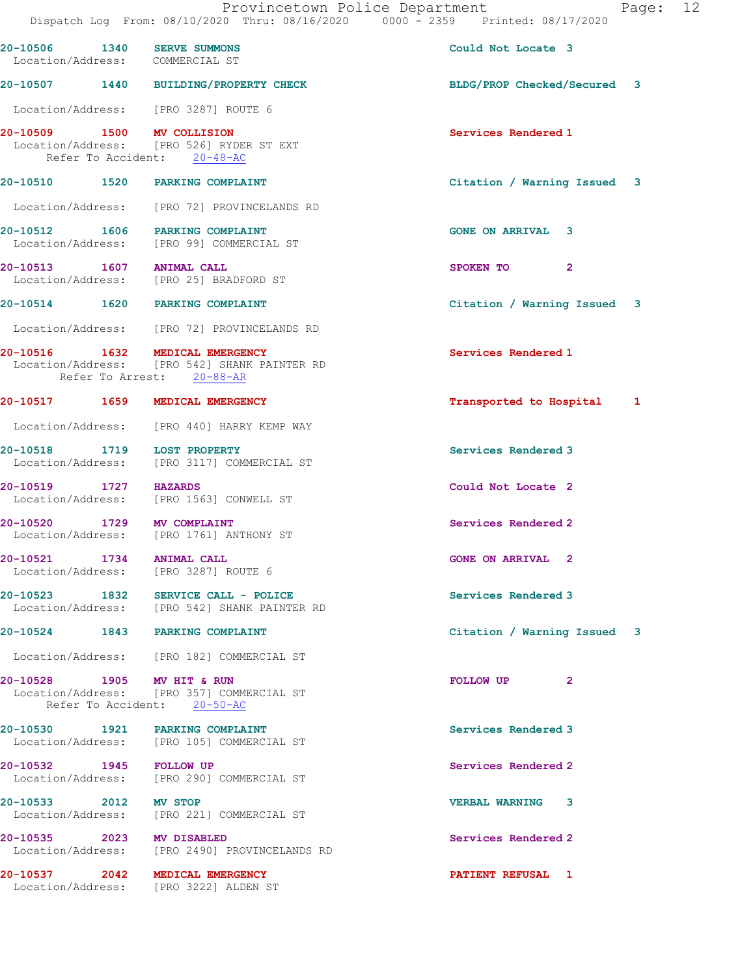|                            | Provincetown Police Department<br>Dispatch Log From: 08/10/2020 Thru: 08/16/2020 0000 - 2359 Printed: 08/17/2020 |                             | Page: 12 |  |
|----------------------------|------------------------------------------------------------------------------------------------------------------|-----------------------------|----------|--|
|                            | 20-10506 1340 SERVE SUMMONS<br>Location/Address: COMMERCIAL ST                                                   | Could Not Locate 3          |          |  |
|                            | 20-10507 1440 BUILDING/PROPERTY CHECK                                                                            | BLDG/PROP Checked/Secured 3 |          |  |
|                            | Location/Address: [PRO 3287] ROUTE 6                                                                             |                             |          |  |
| 20-10509 1500 MV COLLISION | Location/Address: [PRO 526] RYDER ST EXT<br>Refer To Accident: 20-48-AC                                          | Services Rendered 1         |          |  |
|                            | 20-10510 1520 PARKING COMPLAINT                                                                                  | Citation / Warning Issued 3 |          |  |
|                            | Location/Address: [PRO 72] PROVINCELANDS RD                                                                      |                             |          |  |
|                            | 20-10512 1606 PARKING COMPLAINT<br>Location/Address: [PRO 99] COMMERCIAL ST                                      | <b>GONE ON ARRIVAL 3</b>    |          |  |
|                            | 20-10513 1607 ANIMAL CALL<br>Location/Address: [PRO 25] BRADFORD ST                                              | SPOKEN TO 2                 |          |  |
|                            | 20-10514 1620 PARKING COMPLAINT                                                                                  | Citation / Warning Issued 3 |          |  |
|                            | Location/Address: [PRO 72] PROVINCELANDS RD                                                                      |                             |          |  |
|                            | 20-10516 1632 MEDICAL EMERGENCY<br>Location/Address: [PRO 542] SHANK PAINTER RD<br>Refer To Arrest: 20-88-AR     | Services Rendered 1         |          |  |
|                            | 20-10517 1659 MEDICAL EMERGENCY                                                                                  | Transported to Hospital 1   |          |  |
|                            | Location/Address: [PRO 440] HARRY KEMP WAY                                                                       |                             |          |  |
|                            | 20-10518 1719 LOST PROPERTY<br>Location/Address: [PRO 3117] COMMERCIAL ST                                        | Services Rendered 3         |          |  |
| 20-10519 1727 HAZARDS      | Location/Address: [PRO 1563] CONWELL ST                                                                          | Could Not Locate 2          |          |  |
| 20-10520 1729 MV COMPLAINT | Location/Address: [PRO 1761] ANTHONY ST                                                                          | Services Rendered 2         |          |  |
| 20-10521 1734 ANIMAL CALL  | Location/Address: [PRO 3287] ROUTE 6                                                                             | <b>GONE ON ARRIVAL 2</b>    |          |  |
|                            | 20-10523 1832 SERVICE CALL - POLICE<br>Location/Address: [PRO 542] SHANK PAINTER RD                              | Services Rendered 3         |          |  |
|                            | 20-10524 1843 PARKING COMPLAINT                                                                                  | Citation / Warning Issued 3 |          |  |
|                            | Location/Address: [PRO 182] COMMERCIAL ST                                                                        |                             |          |  |
| 20-10528 1905 MV HIT & RUN | Location/Address: [PRO 357] COMMERCIAL ST<br>Refer To Accident: 20-50-AC                                         | FOLLOW UP<br>$\overline{2}$ |          |  |
|                            | 20-10530 1921 PARKING COMPLAINT<br>Location/Address: [PRO 105] COMMERCIAL ST                                     | Services Rendered 3         |          |  |
| 20-10532 1945 FOLLOW UP    | Location/Address: [PRO 290] COMMERCIAL ST                                                                        | Services Rendered 2         |          |  |
| 20-10533 2012 MV STOP      | Location/Address: [PRO 221] COMMERCIAL ST                                                                        | <b>VERBAL WARNING 3</b>     |          |  |
| 20-10535 2023 MV DISABLED  | Location/Address: [PRO 2490] PROVINCELANDS RD                                                                    | Services Rendered 2         |          |  |
|                            | 20-10537 2042 MEDICAL EMERGENCY                                                                                  | <b>PATIENT REFUSAL 1</b>    |          |  |

Location/Address: [PRO 3222] ALDEN ST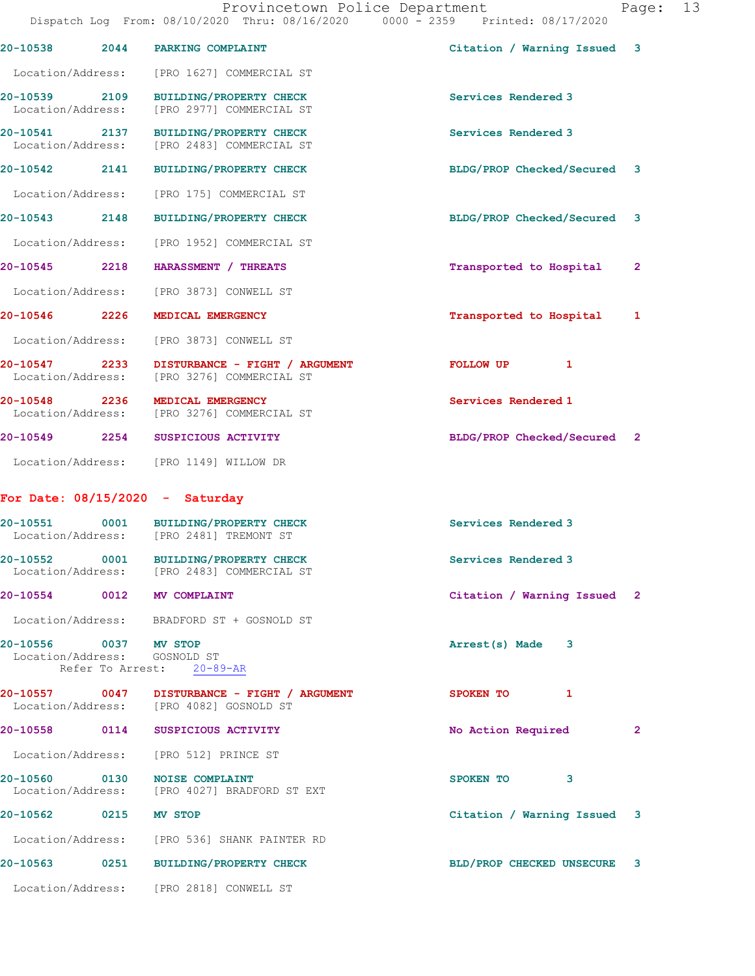|                                    |                  | 20-10538 2044 PARKING COMPLAINT                                                         | Citation / Warning Issued 3 |              |
|------------------------------------|------------------|-----------------------------------------------------------------------------------------|-----------------------------|--------------|
|                                    |                  | Location/Address: [PRO 1627] COMMERCIAL ST                                              |                             |              |
| 20-10539 2109                      |                  | <b>BUILDING/PROPERTY CHECK</b><br>Location/Address: [PRO 2977] COMMERCIAL ST            | Services Rendered 3         |              |
|                                    |                  | 20-10541 2137 BUILDING/PROPERTY CHECK<br>Location/Address: [PRO 2483] COMMERCIAL ST     | Services Rendered 3         |              |
| 20-10542                           |                  | 2141 BUILDING/PROPERTY CHECK                                                            | BLDG/PROP Checked/Secured 3 |              |
|                                    |                  | Location/Address: [PRO 175] COMMERCIAL ST                                               |                             |              |
|                                    |                  | 20-10543 2148 BUILDING/PROPERTY CHECK                                                   | BLDG/PROP Checked/Secured 3 |              |
|                                    |                  | Location/Address: [PRO 1952] COMMERCIAL ST                                              |                             |              |
| 20-10545 2218                      |                  | HARASSMENT / THREATS                                                                    | Transported to Hospital     | $\mathbf{2}$ |
|                                    |                  | Location/Address: [PRO 3873] CONWELL ST                                                 |                             |              |
| 20-10546 2226                      |                  | MEDICAL EMERGENCY                                                                       | Transported to Hospital     | $\mathbf{1}$ |
|                                    |                  | Location/Address: [PRO 3873] CONWELL ST                                                 |                             |              |
| 20-10547 2233                      |                  | DISTURBANCE - FIGHT / ARGUMENT<br>Location/Address: [PRO 3276] COMMERCIAL ST            | 1<br>FOLLOW UP              |              |
| 20-10548 2236                      |                  | MEDICAL EMERGENCY<br>Location/Address: [PRO 3276] COMMERCIAL ST                         | Services Rendered 1         |              |
|                                    |                  | 20-10549 2254 SUSPICIOUS ACTIVITY                                                       | BLDG/PROP Checked/Secured 2 |              |
|                                    |                  | Location/Address: [PRO 1149] WILLOW DR                                                  |                             |              |
|                                    |                  | For Date: $08/15/2020 - Saturday$                                                       |                             |              |
|                                    |                  | 20-10551 0001 BUILDING/PROPERTY CHECK<br>Location/Address: [PRO 2481] TREMONT ST        | Services Rendered 3         |              |
|                                    |                  | 20-10552 0001 BUILDING/PROPERTY CHECK<br>Location/Address: [PRO 2483] COMMERCIAL ST     | Services Rendered 3         |              |
| 20-10554                           | 0012             | MV COMPLAINT                                                                            | Citation / Warning Issued 2 |              |
|                                    |                  | Location/Address: BRADFORD ST + GOSNOLD ST                                              |                             |              |
| 20-10556 0037 MV STOP              | Refer To Arrest: | Location/Address: GOSNOLD ST<br>$20 - 89 - AR$                                          | Arrest(s) Made<br>3         |              |
|                                    |                  | 20-10557 0047 DISTURBANCE - FIGHT / ARGUMENT<br>Location/Address: [PRO 4082] GOSNOLD ST | 1<br>SPOKEN TO              |              |
| 20-10558 0114                      |                  | SUSPICIOUS ACTIVITY                                                                     | No Action Required          | $\sim$ 2     |
|                                    |                  | Location/Address: [PRO 512] PRINCE ST                                                   |                             |              |
| 20-10560 0130<br>Location/Address: |                  | <b>NOISE COMPLAINT</b><br>[PRO 4027] BRADFORD ST EXT                                    | SPOKEN TO<br>3              |              |
| 20-10562 0215                      |                  | <b>MV STOP</b>                                                                          | Citation / Warning Issued 3 |              |
|                                    |                  | Location/Address: [PRO 536] SHANK PAINTER RD                                            |                             |              |
| 20-10563 0251                      |                  | <b>BUILDING/PROPERTY CHECK</b>                                                          | BLD/PROP CHECKED UNSECURE 3 |              |
| Location/Address:                  |                  | [PRO 2818] CONWELL ST                                                                   |                             |              |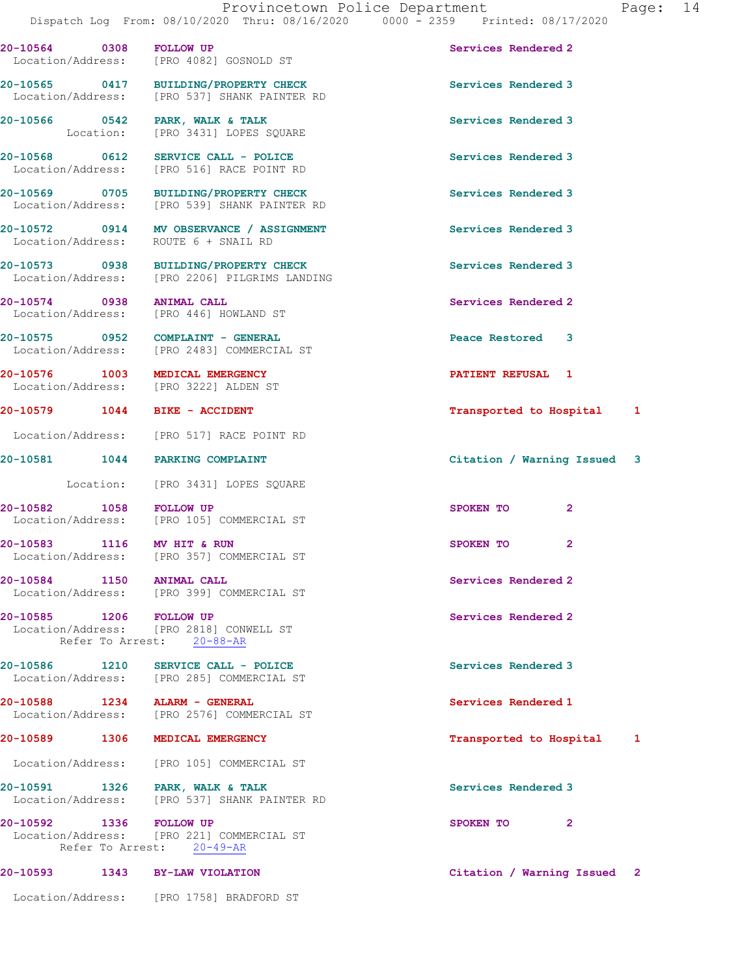20-10564 0308 FOLLOW UP Services Rendered 2 Location/Address: [PRO 4082] GOSNOLD ST 20-10565 0417 BUILDING/PROPERTY CHECK Services Rendered 3 Location/Address: [PRO 537] SHANK PAINTER RD 20-10566 0542 PARK, WALK & TALK Services Rendered 3 Location: [PRO 3431] LOPES SQUARE 20-10568 0612 SERVICE CALL - POLICE Services Rendered 3 Location/Address: [PRO 516] RACE POINT RD 20-10569 0705 BUILDING/PROPERTY CHECK Services Rendered 3 Location/Address: [PRO 539] SHANK PAINTER RD 20-10572 0914 MV OBSERVANCE / ASSIGNMENT Services Rendered 3 Location/Address: ROUTE 6 + SNAIL RD 20-10573 0938 BUILDING/PROPERTY CHECK Services Rendered 3 Location/Address: [PRO 2206] PILGRIMS LANDING 20-10574 0938 ANIMAL CALL Services Rendered 2 Location/Address: [PRO 446] HOWLAND ST 20-10575 0952 COMPLAINT - GENERAL Peace Restored 3 Location/Address: [PRO 2483] COMMERCIAL ST 20-10576 1003 MEDICAL EMERGENCY **1003 MEDICAL EMERGENCY** 20-10576 PATIENT REFUSAL Location/Address: [PRO 3222] ALDEN ST 20-10579 1044 BIKE - ACCIDENT **Transported to Hospital** 1 Location/Address: [PRO 517] RACE POINT RD 20-10581 1044 PARKING COMPLAINT Citation / Warning Issued 3 Location: [PRO 3431] LOPES SQUARE 20-10582 1058 FOLLOW UP 3POKEN TO 2<br>
Location/Address: [PRO 105] COMMERCIAL ST [PRO 105] COMMERCIAL ST 20-10583 1116 MV HIT & RUN SPOKEN TO 2 Location/Address: [PRO 357] COMMERCIAL ST 20-10584 1150 ANIMAL CALL 30 and 20 Services Rendered 2 Location/Address: [PRO 399] COMMERCIAL ST 20-10585 1206 FOLLOW UP Services Rendered 2 Location/Address: [PRO 2818] CONWELL ST Refer To Arrest: 20-88-AR 20-10586 1210 SERVICE CALL - POLICE Services Rendered 3 Location/Address: [PRO 285] COMMERCIAL ST 20-10588 1234 ALARM - GENERAL Services Rendered 1 Location/Address: [PRO 2576] COMMERCIAL ST 20-10589 1306 MEDICAL EMERGENCY Transported to Hospital 1 Location/Address: [PRO 105] COMMERCIAL ST 20-10591 1326 PARK, WALK & TALK Services Rendered 3 Location/Address: [PRO 537] SHANK PAINTER RD

20-10592 1336 FOLLOW UP 3POKEN TO 2 Location/Address: [PRO 221] COMMERCIAL ST Refer To Arrest: 20-49-AR

20-10593 1343 BY-LAW VIOLATION Citation / Warning Issued 2

Location/Address: [PRO 1758] BRADFORD ST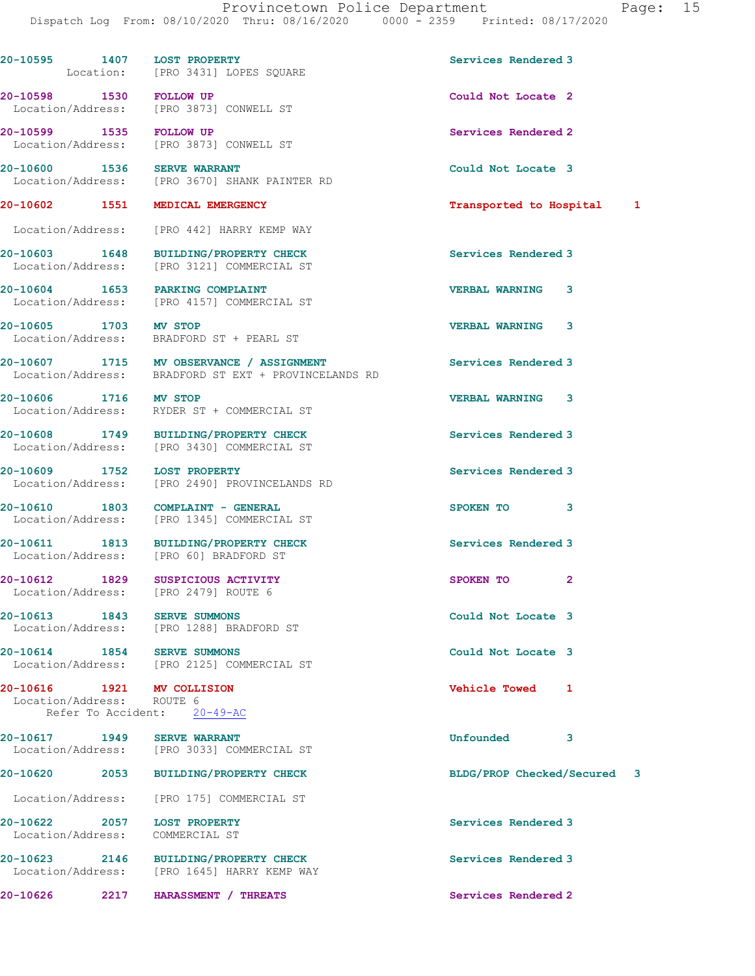Dispatch Log From: 08/10/2020 Thru: 08/16/2020 0000 - 2359 Printed: 08/17/2020 20-10595 1407 LOST PROPERTY **1200 Services Rendered** 3 Location: [PRO 3431] LOPES SQUARE 20-10598 1530 FOLLOW UP Could Not Locate 2<br>
Location/Address: [PRO 3873] CONWELL ST [PRO 3873] CONWELL ST 20-10599 1535 FOLLOW UP Services Rendered 2 Location/Address: [PRO 3873] CONWELL ST 20-10600 1536 SERVE WARRANT Could Not Locate 3<br>
Location/Address: [PRO 3670] SHANK PAINTER RD [PRO 3670] SHANK PAINTER RD 20-10602 1551 MEDICAL EMERGENCY 1988 120 10602 1551 1551 1551 1562 Location/Address: [PRO 442] HARRY KEMP WAY 20-10603 1648 BUILDING/PROPERTY CHECK Services Rendered 3 Location/Address: [PRO 3121] COMMERCIAL ST 20-10604 1653 PARKING COMPLAINT VERBAL WARNING 3 Location/Address: [PRO 4157] COMMERCIAL ST 20-10605 1703 MV STOP VERBAL WARNING 3 Location/Address: BRADFORD ST + PEARL ST 20-10607 1715 MV OBSERVANCE / ASSIGNMENT Services Rendered 3 Location/Address: BRADFORD ST EXT + PROVINCELANDS RD 20-10606 1716 MV STOP VERBAL WARNING 3 Location/Address: RYDER ST + COMMERCIAL ST 20-10608 1749 BUILDING/PROPERTY CHECK Services Rendered 3 Location/Address: [PRO 3430] COMMERCIAL ST 20-10609 1752 LOST PROPERTY **1200 Services Rendered 3**  Location/Address: [PRO 2490] PROVINCELANDS RD 20-10610 1803 COMPLAINT - GENERAL SPOKEN TO 3 Location/Address: [PRO 1345] COMMERCIAL ST 20-10611 1813 BUILDING/PROPERTY CHECK Services Rendered 3 Location/Address: [PRO 60] BRADFORD ST 20-10612 1829 SUSPICIOUS ACTIVITY CHARGES AND SPOKEN TO 2 Location/Address: [PRO 2479] ROUTE 6 20-10613 1843 SERVE SUMMONS Could Not Locate 3 Location/Address: [PRO 1288] BRADFORD ST 20-10614 1854 SERVE SUMMONS Could Not Locate 3 Location/Address: [PRO 2125] COMMERCIAL ST 20-10616 1921 MV COLLISION Vehicle Towed 1 Location/Address: ROUTE 6 Refer To Accident: 20-49-AC 20-10617 1949 SERVE WARRANT Unfounded 3 Location/Address: [PRO 3033] COMMERCIAL ST 20-10620 2053 BUILDING/PROPERTY CHECK BLDG/PROP Checked/Secured 3 Location/Address: [PRO 175] COMMERCIAL ST 20-10622 2057 LOST PROPERTY **1200 Services Rendered** 3 Location/Address: COMMERCIAL ST 20-10623 2146 BUILDING/PROPERTY CHECK Services Rendered 3 Location/Address: [PRO 1645] HARRY KEMP WAY

20-10626 2217 HARASSMENT / THREATS Services Rendered 2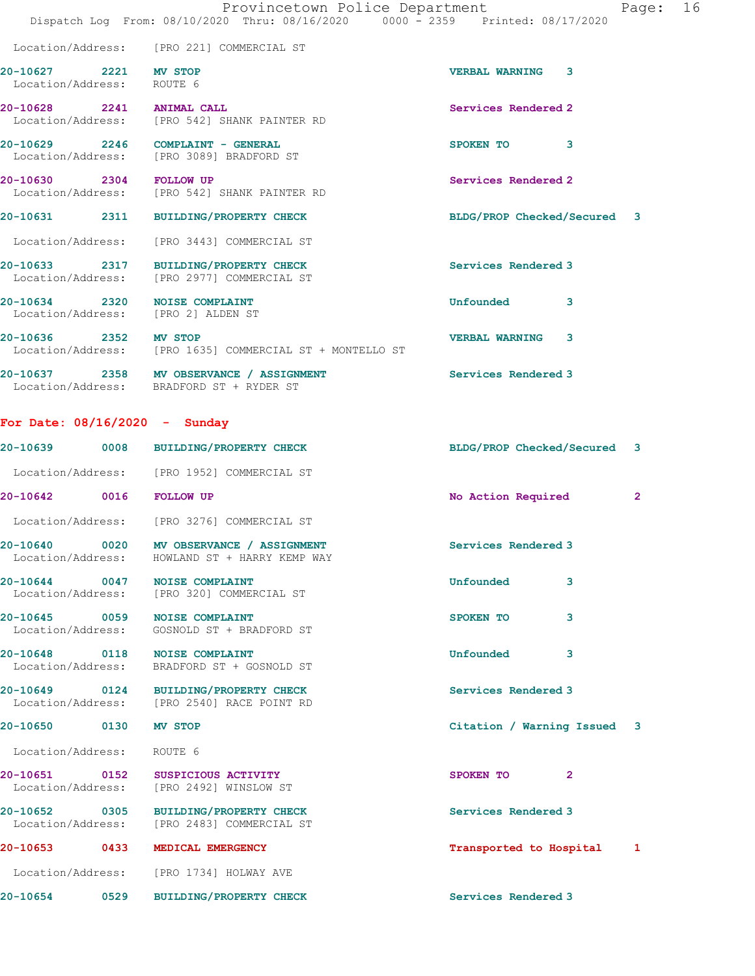|                                                                     | Provincetown Police Department<br>Dispatch Log From: 08/10/2020 Thru: 08/16/2020 0000 - 2359 Printed: 08/17/2020 | 16<br>Page:                           |
|---------------------------------------------------------------------|------------------------------------------------------------------------------------------------------------------|---------------------------------------|
|                                                                     | Location/Address: [PRO 221] COMMERCIAL ST                                                                        |                                       |
| 20-10627 2221 MV STOP<br>Location/Address:                          | ROUTE 6                                                                                                          | <b>VERBAL WARNING</b><br>$\mathbf{3}$ |
| 20-10628 2241 ANIMAL CALL                                           | Location/Address: [PRO 542] SHANK PAINTER RD                                                                     | Services Rendered 2                   |
|                                                                     | 20-10629 2246 COMPLAINT - GENERAL<br>Location/Address: [PRO 3089] BRADFORD ST                                    | SPOKEN TO<br>3                        |
| 20-10630 2304 FOLLOW UP                                             | Location/Address: [PRO 542] SHANK PAINTER RD                                                                     | Services Rendered 2                   |
|                                                                     | 20-10631 2311 BUILDING/PROPERTY CHECK                                                                            | BLDG/PROP Checked/Secured 3           |
|                                                                     | Location/Address: [PRO 3443] COMMERCIAL ST                                                                       |                                       |
|                                                                     | 20-10633 2317 BUILDING/PROPERTY CHECK<br>Location/Address: [PRO 2977] COMMERCIAL ST                              | Services Rendered 3                   |
| 20-10634 2320 NOISE COMPLAINT<br>Location/Address: [PRO 2] ALDEN ST |                                                                                                                  | Unfounded<br>3                        |
| 20-10636 2352 MV STOP                                               | Location/Address: [PRO 1635] COMMERCIAL ST + MONTELLO ST                                                         | <b>VERBAL WARNING</b><br>3            |
| 20-10637 2358                                                       | MV OBSERVANCE / ASSIGNMENT                                                                                       | Services Rendered 3                   |

## For Date: 08/16/2020 - Sunday

Location/Address: BRADFORD ST + RYDER ST

| 20-10639 0008                      | <b>BUILDING/PROPERTY CHECK</b>                                                      | BLDG/PROP Checked/Secured   | $\mathbf{3}$   |
|------------------------------------|-------------------------------------------------------------------------------------|-----------------------------|----------------|
|                                    | Location/Address: [PRO 1952] COMMERCIAL ST                                          |                             |                |
| 20-10642 0016                      | <b>FOLLOW UP</b>                                                                    | No Action Required          | $\overline{2}$ |
|                                    | Location/Address: [PRO 3276] COMMERCIAL ST                                          |                             |                |
| 20-10640 0020<br>Location/Address: | MV OBSERVANCE / ASSIGNMENT<br>HOWLAND ST + HARRY KEMP WAY                           | Services Rendered 3         |                |
| 20-10644 0047 NOISE COMPLAINT      | Location/Address: [PRO 320] COMMERCIAL ST                                           | Unfounded<br>3              |                |
| 20-10645 0059 NOISE COMPLAINT      | Location/Address: GOSNOLD ST + BRADFORD ST                                          | 3<br>SPOKEN TO              |                |
| 20-10648 0118 NOISE COMPLAINT      | Location/Address: BRADFORD ST + GOSNOLD ST                                          | Unfounded<br>3              |                |
|                                    | 20-10649 0124 BUILDING/PROPERTY CHECK<br>Location/Address: [PRO 2540] RACE POINT RD | Services Rendered 3         |                |
| 20-10650 0130                      | MV STOP                                                                             | Citation / Warning Issued 3 |                |
| Location/Address:                  | ROUTE 6                                                                             |                             |                |
| 20-10651 0152<br>Location/Address: | SUSPICIOUS ACTIVITY<br>[PRO 2492] WINSLOW ST                                        | SPOKEN TO<br>$\overline{2}$ |                |
| 20-10652 0305<br>Location/Address: | <b>BUILDING/PROPERTY CHECK</b><br>[PRO 2483] COMMERCIAL ST                          | Services Rendered 3         |                |
| 20-10653 0433                      | MEDICAL EMERGENCY                                                                   | Transported to Hospital     | 1              |
| Location/Address:                  | [PRO 1734] HOLWAY AVE                                                               |                             |                |
| 20-10654 0529                      | <b>BUILDING/PROPERTY CHECK</b>                                                      | Services Rendered 3         |                |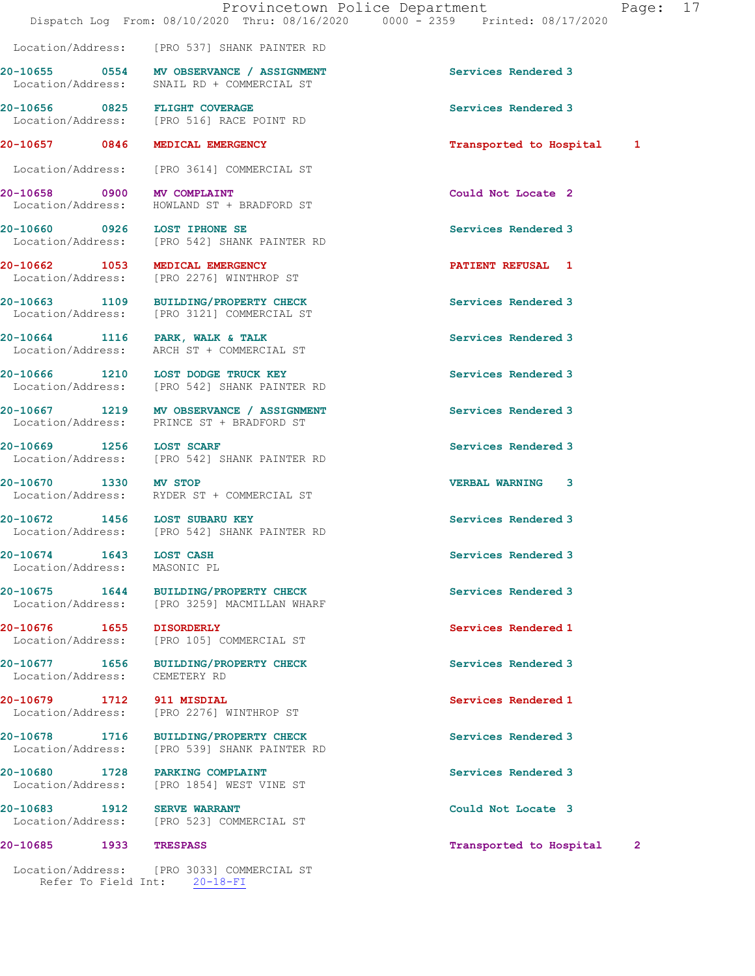20-10657 0846 MEDICAL EMERGENCY Transported to Hospital 1

20-10655 0554 MV OBSERVANCE / ASSIGNMENT Services Rendered 3

20-10656 0825 FLIGHT COVERAGE 3 COMPOSED Services Rendered 3<br>
Location/Address: [PRO 516] RACE POINT RD

 Location/Address: [PRO 3614] COMMERCIAL ST 20-10658 0900 MV COMPLAINT Could Not Locate 2 Location/Address: HOWLAND ST + BRADFORD ST 20-10660 0926 LOST IPHONE SE Services Rendered 3 Location/Address: [PRO 542] SHANK PAINTER RD

[PRO 516] RACE POINT RD

20-10662 1053 MEDICAL EMERGENCY **120-10662 PATIENT REFUSAL** 1

Location/Address: [PRO 537] SHANK PAINTER RD

Location/Address: SNAIL RD + COMMERCIAL ST

Location/Address: [PRO 3121] COMMERCIAL ST

Location/Address: ARCH ST + COMMERCIAL ST

20-10666 1210 LOST DODGE TRUCK KEY Services Rendered 3 Location/Address: [PRO 542] SHANK PAINTER RD

20-10667 1219 MV OBSERVANCE / ASSIGNMENT Services Rendered 3

20-10669 1256 LOST SCARF 20-10669 1256 Services Rendered 3<br>
Location/Address: [PRO 542] SHANK PAINTER RD [PRO 542] SHANK PAINTER RD

20-10670 1330 MV STOP VERBAL WARNING 3

Location/Address: MASONIC PL

Location/Address: CEMETERY RD

20-10679 1712 911 MISDIAL Services Rendered 1

20-10680 1728 PARKING COMPLAINT Services Rendered 3

20-10683 1912 SERVE WARRANT **Could Not Locate 3** Location/Address: [PRO 523] COMMERCIAL ST

## 20-10685 1933 TRESPASS Transported to Hospital 2

 Location/Address: [PRO 3033] COMMERCIAL ST Refer To Field Int: 20-18-FI

Location/Address: [PRO 2276] WINTHROP ST

20-10663 1109 BUILDING/PROPERTY CHECK Services Rendered 3

20-10664 1116 PARK, WALK & TALK Services Rendered 3

Location/Address: PRINCE ST + BRADFORD ST

Location/Address: RYDER ST + COMMERCIAL ST

20-10672 1456 LOST SUBARU KEY Services Rendered 3<br>
Location/Address: [PRO 542] SHANK PAINTER RD [PRO 542] SHANK PAINTER RD

20-10675 1644 BUILDING/PROPERTY CHECK Services Rendered 3 Location/Address: [PRO 3259] MACMILLAN WHARF

20-10676 1655 DISORDERLY Services Rendered 1 Location/Address: [PRO 105] COMMERCIAL ST

20-10677 1656 BUILDING/PROPERTY CHECK Services Rendered 3

Location/Address: [PRO 2276] WINTHROP ST

20-10678 1716 BUILDING/PROPERTY CHECK Services Rendered 3 Location/Address: [PRO 539] SHANK PAINTER RD

Location/Address: [PRO 1854] WEST VINE ST

20-10674 1643 LOST CASH Services Rendered 3